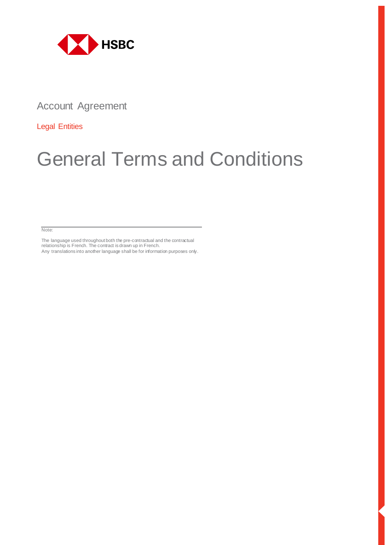

Account Agreement

Legal Entities

# General Terms and Conditions

Note:

The language used throughout both the pre-contractual and the contractual relationship is French. The contract is drawn up in French. Any translations into another language shall be for information purposes only.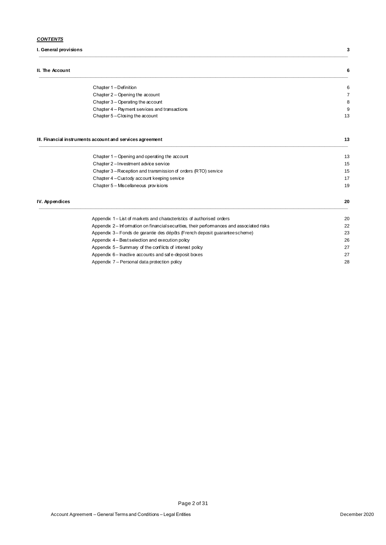# *CONTENTS*

**I. General provisions 3**

#### **II. The Account 6**

**IV.** Appendices

| Chapter 1-Definition                          |    |
|-----------------------------------------------|----|
| Chapter 2 - Opening the account               |    |
| Chapter 3 - Operating the account             |    |
| Chapter 4 - Payment services and transactions | ĉ  |
| Chapter 5 - Closing the account               | 13 |

**\_\_\_\_\_\_\_\_\_\_\_\_\_\_\_\_\_\_\_\_\_\_\_\_\_\_\_\_\_\_\_\_\_\_\_\_\_\_\_\_\_\_\_\_\_\_\_\_\_\_\_\_\_\_\_\_\_\_\_\_\_\_\_\_\_\_\_\_\_\_\_\_\_\_\_\_\_\_\_\_\_\_\_\_\_\_\_\_\_\_\_\_\_\_\_\_\_\_\_\_\_\_\_\_\_\_\_\_\_\_\_\_\_\_\_\_\_\_\_**

#### **III. Financial instruments account and services agreement 13 \_\_\_\_\_\_\_\_\_\_\_\_\_\_\_\_\_\_\_\_\_\_\_\_\_\_\_\_\_\_\_\_\_\_\_\_\_\_\_\_\_\_\_\_\_\_\_\_\_\_\_\_\_\_\_\_\_\_\_\_\_\_\_\_\_\_\_\_\_\_\_\_\_\_\_\_\_\_\_\_\_\_\_\_\_\_\_\_\_\_\_\_\_\_\_\_\_\_\_\_\_\_\_\_\_\_\_\_\_\_\_\_\_\_\_\_\_\_\_**

|               | Appendix 1– List of markets and characteristics of authorised orders | 20 |
|---------------|----------------------------------------------------------------------|----|
| V. Appendices |                                                                      | 20 |
|               | Chapter 5 - Miscellaneous provisions                                 | 19 |
|               | Chapter 4 - Custody account keeping service                          | 17 |
|               | Chapter 3 – Reception and transmission of orders (RTO) service       | 15 |
|               | Chapter 2-Investment advice service                                  | 15 |
|               | Chapter 1 – Opening and operating the account                        | 13 |

| Appendix 2– Information on financial securities, their performances and associated risks | 22 |
|------------------------------------------------------------------------------------------|----|
| Appendix 3– Fonds de garantie des dépôts (French deposit quarantee scheme)               | 23 |
| Appendix 4 – Best selection and execution policy                                         | 26 |
| Appendix 5– Summary of the conflicts of interest policy                                  | 27 |
| Appendix 6– Inactive accounts and safe-deposit boxes                                     | 27 |
| Appendix 7 – Personal data protection policy                                             | 28 |
|                                                                                          |    |

Page 2 of 31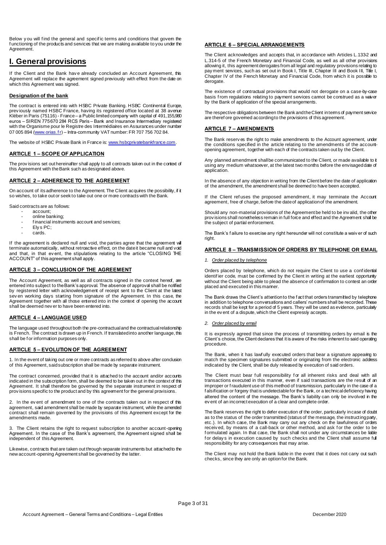Below you will find the general and specific terms and conditions that govem the f unctioning of the products and services that we are making available to you under the Agreement.

# **I. General provisions**

If the Client and the Bank have already concluded an Account Agreement, this Agreement will replace the agreement signed previously with effect from the date on which this Agreement was signed.

#### **Designation of the bank**

The contract is entered into with HSBC Private Banking. HSBC Continental Europe, prev iously named HSBC France, having its registered office located at 38 avenue Kléber in Paris (75116) - France – a Public limited company with capital of 491,155,980 euros – SIREN 775 670 284 RCS Paris – Bank and Insurance Intermediary registered with the Organisme pour le Registre des Intermédiaires en Assurances under number 07 005 894 (www.orias.fr) - Intra-community VAT number: FR 707 756 702 84.

The website of HSBC Private Bank in France i[s: www.hsbcprivatebankfrance.com](http://www.hsbcprivatebankfrance.com/).

#### **ARTICLE 1 – SCOPE OF APPLICATION**

The prov isions set out hereinafter shall apply to all contracts taken out in the context of this Agreement with the Bank such as designated above.

#### **ARTICLE 2 – ADHERENCE TO THE AGREEMENT**

On account of its adherence to the Agreement. The Client acquires the possibility, if it so wishes, to take out or seek to take out one or more contracts with the Bank.

Said contracts are as follows:

- account; online banking;
- f inancial instruments account and services:
- Ely s PC;
- cards.

If the agreement is declared null and void, the parties agree that the agreement will terminate automatically, without retroactive effect, on the date it became null and void and that, in that ev ent, the stipulations relating to the article "CLOSING THE ACCOUNT" of this agreement shall apply.

#### **ARTICLE 3 – CONCLUSION OF THE AGREEMENT**

The Account Agreement, as well as all contracts signed in the context hereof, are entered into subject to the Bank's approval. The absence of approval shall be notified by registered letter with acknowledgement of receipt sent to the Client at the latest sev en working days starting from signature of the Agreement. In this case, the Agreement together with all those entered into in the context of opening the account shall be deemed nev er to have been entered into.

#### **ARTICLE 4 – LANGUAGE USED**

The language used throughout both the pre-contractual and the contractual relationship is French. The contract is drawn up in French. If translated into another language, this shall be f or information purposes only.

#### **ARTICLE 5 – EVOLUTION OF THE AGREEMENT**

1. In the event of taking out one or more contracts as referred to above after conclusion of this Agreement, said subscription shall be made by separate instrument.

The contract concerned, provided that it is attached to the account and/or accounts indicated in the subscription form, shall be deemed to be taken out in the context of this Agreement. It shall therefore be governed by the separate instrument in respect of prov isions specific to the product and by this agreement for the general provisions.

2. In the ev ent of amendment to one of the contracts taken out in respect of this agreement, said amendment shall be made by separate instrument, while the amended contract shall remain governed by the provisions of this Agreement except for the amendments made.

3. The Client retains the right to request subscription to another account-opening Agreement. In the case of the Bank's agreement, the Agreement signed shall be independent of this Agreement.

Likewise, contracts that are taken out through separate instruments but attached to the new account-opening Agreement shall be governed by the latter.

#### **ARTICLE 6 – SPECIAL ARRANGEMENTS**

The Client acknowledges and accepts that, in accordance with Articles L.133-2 and L.314-5 of the French Monetary and Financial Code, as well as all other provisions allowing it, this agreement derogates from all legal and regulatory provisions relating to pay ment services, such as set out in Book I, Title III, Chapter III and Book III, Title I, Chapter IV of the French Monetary and Financial Code, from which it is possible to derogate.

The existence of contractual provisions that would not derogate on a case-by-case basis f rom regulations relating to payment services cannot be construed as a waiver by the Bank of application of the special arrangements.

The respective obligations between the Bank and the Client in terms of payment service are theref ore governed according to the provisions of this agreement.

#### **ARTICLE 7 – AMENDMENTS**

The Bank reserv es the right to make amendments to the Account agreement, under the conditions specified in the article relating to the amendments of the accountopening agreement, together with each of the contracts taken out by the Client.

Any planned amendment shall be communicated to the Client, or made available to it using any medium whatsoever, at the latest two months before the envisaged date of application.

In the absence of any objection in writing from the Client before the date of application of the amendment, the amendment shall be deemed to have been accepted.

If the Client ref uses the proposed amendment, it may terminate the Account agreement, free of charge, before the date of application of the amendment.

Should any non-material provisions of the Agreement be held to be inv alid, the other prov isions shall nonetheless remain in full force and effect and the Agreement shall be the subject of partial enforcement.

The Bank's f ailure to exercise any right hereunder will not constitute a waiv er of such right.

#### **ARTICLE 8 – TRANSMISSION OF ORDERS BY TELEPHONE OR EMAIL**

#### *1. Order placed by telephone*

Orders placed by telephone, which do not require the Client to use a conf idential identif ier code, must be confirmed by the Client in writing at the earliest opportunity without the Client being able to plead the absence of confirmation to contest an order placed and executed in this manner.

The Bank draws the Client's attention to the f act that orders transmitted by telephone in addition to telephone conversations and callers' numbers shall be recorded. These records shall be kept for a period of 5 years. They will be used as evidence, particularly in the ev ent of a dispute, which the Client expressly accepts.

#### *2. Order placed by email*

It is expressly agreed that since the process of transmitting orders by email is the Client's choice, the Client declares that it is aware of the risks inherent to said operating procedure.

The Bank, when it has lawf ully executed orders that bear a signature appearing to match the specimen signatures submitted or originating from the electronic address indicated by the Client, shall be duly released by execution of said orders.

The Client must bear full responsibility for all inherent risks and deal with all<br>transactions executed in this manner, even if said transactions are the result of an improper or f raudulent use of this method of transmission, particularly in the case of a falsification or forgery that is undetectable for the Bank, or a technical deficiency having altered the content of the message. The Bank's liability can only be involved in the ev ent of an incorrect execution of a clear and complete order.

The Bank reserves the right to defer execution of the order, particularly in case of doubt as to the status of the order transmitted (status of the message, the instructing party, etc.). In which case, the Bank may carry out any check on the lawfulness of orders receiv ed, by means of a call-back or other method, and ask for the order to be f ormulated again. In that case, the Bank shall not under any circumstances be liable f or delay s in execution caused by such checks and the Client shall assume full responsibility for any consequences that may arise.

The Client may not hold the Bank liable in the event that it does not carry out such checks, since they are only an optionfor the Bank.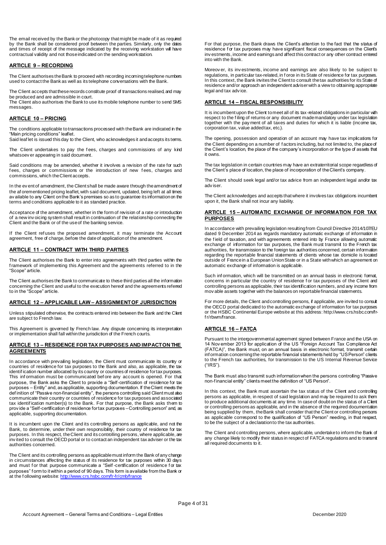The email received by the Bank or the photocopy that might be made of it as required by the Bank shall be considered proof between the parties. Similarly, only the dates and times of receipt of the message indicated by the receiving workstation will have contractual validity and not those indicated on the sending workstation.

#### **ARTICLE 9 – RECORDING**

The Client authorises the Bank to proceed with recording incoming telephone numbers used to contact the Bank as well as its telephone conversations with the Bank.

The Client accepts that these records constitute proof of transactions realised, and may be produced and are admissible in court.

The Client also authorises the Bank to use its mobile telephone number to send SMS messages

#### **ARTICLE 10 – PRICING**

The conditions applicable to transactions processed with the Bank are indicated in the "Main pricing conditions" leaflet.

Said leaf let is issued this day to the Client, who acknowledges it and accepts its tems.

The Client undertakes to pay the fees, charges and commissions of any kind whatsoev er appearing in said document.

Said conditions may be amended, whether it involves a revision of the rate for such f ees, charges or commissions or the introduction of new f ees, charges and commissions, which the Client accepts.

In the ev ent of amendment, the Client shall be made aware through the amendment of the af orementioned pricing leaflet, with said document, updated, being left at all times av ailable to any Client on the Bank's premises so as to guarantee its information on the terms and conditions applicable to it as standard practice.

Acceptance of the amendment, whether in the form of revision of a rate or introduction of a new inv oicing system shall result in continuation of the relationship connecting the Client and the Bank or of the use of the banking service.

If the Client ref uses the proposed amendment, it may terminate the Account agreement, free of charge, before the date of application of the amendment.

#### **ARTICLE 11 – CONTRACT WITH THIRD PARTIES**

The Client authorises the Bank to enter into agreements with third parties within the f ramework of implementing this Agreement and the agreements referred to in the "Scope" article.

The Client authorises the Bank to communicate to these third parties all the information concerning the Client and useful to the execution hereof and the agreements referred to in the "Scope" article.

#### **ARTICLE 12 – APPLICABLE LAW – ASSIGNMENT OF JURISDICTION**

Unless stipulated otherwise, the contracts entered into between the Bank and the Client are subject to French law.

This Agreement is governed by French law. Any dispute concerning its interpretation or implementation shall fall within the jurisdiction of the French courts.

#### **ARTICLE 13 – RESIDENCE FOR TAX PURPOSES AND IMPACT ON THE AGREEMENTS**

In accordance with prevaling legislation, the Client must communicate its country or countries of residence for tax purposes to the Bank and also, as applicable, the tax identif ication number allocated by its country or countries of residence for tax purposes. This inf ormation must be communicated bef ore any account is opened. For that purpose, the Bank asks the Client to provide a "Self-certification of residence for tax purposes – Entity" and, as applicable, supporting documentation. If the Client meets the def inition of "Passive non-financial entity", the persons controlling said Client must also communicate their country or countries of residence for tax purposes and associated tax identif ication number(s) to the Bank. For that purpose, the Bank asks them to prov ide a "Self-certification of residence for tax purposes – Controlling person" and, as applicable, supporting documentation.

It is incumbent upon the Client and its controlling persons as applicable, and not the Bank, to determine, under their own responsibility, their country of residence for tax purposes. In this respect, the Client and its controlling persons, where applicable, are inv ited to consult the OECD portal or to contact an independent tax adviser or the tax authorities concerned.

The Client and its controlling persons as applicable must inform the Bank of any change in circumstances affecting the status of its residence for tax purposes within 30 days and must for that purpose communicate a "Self-certification of residence for tax purposes" f orm to it within a period of 90 days. This form is available from the Bank or at the f ollowing websit[e: http://www.crs.hsbc.com/fr-fr/cmb/france](http://www.crs.hsbc.com/fr-fr/cmb/france)

For that purpose, the Bank draws the Client's attention to the fact that the status of residence for tax purposes may have significant fiscal consequences on the Client's inv estments, income and earnings and affect this contract or any other contract entered into with the Bank.

Moreov er, its inv estments, income and earnings are also likely to be subject to regulations, in particular tax-related, in f orce in its State of residence for tax purposes. In this context, the Bank invites the Client to consult the tax authorities for its State of residence and/or approach an independent adviser with a view to obtaining appropriate legal and tax adv ice.

#### **ARTICLE 14 – FISCAL RESPONSIBILITY**

It is incumbent upon the Client to meet all of its tax-related obligations in particular with respect to the filing of returns or any document made mandatory under tax legislation together with the pay ment of all taxes and duties for which it is liable (income tax, corporation tax, value added tax, etc.).

The opening, possession and operation of an account may have tax implications for the Client depending on a number of f actors including, but not limited to, the place of the Client's location, the place of the company's incorporation or the type of assets that it owns.

The tax legislation in certain countries may have an extraterritorial scope regardless of the Client's place of location, the place of incorporation of the Client's company.

The Client should seek legal and/or tax advice from an independent legal and/or tax adv iser.

The Client acknowledges and accepts that where it involves tax obligations incumbent upon it, the Bank shall not incur any liability.

#### **ARTICLE 15 – AUTOMATIC EXCHANGE OF INFORMATION FOR TAX PURPOSES**

In accordance with prevailing legislation resulting from Council Directive 2014/107/EU dated 9 December 2014 as regards mandatory automatic exchange of information in the f ield of taxation, and with agreements entered into by France allowing automatic exchange of information for tax purposes, the Bank must transmit to the French tax authorities, for transmission to the foreign tax authorities concerned, certain information regarding the reportable financial statements of clients whose tax domicile is located outside of France in a European Union State or in a State with which an agreement on automatic exchange of information is applicable.

Such information, which will be transmitted on an annual basis in electronic format, concerns in particular the country of residence for tax purposes of the Client and controlling persons as applicable, their tax identification numbers, and any income from mov able assets together with the balances on reportable financial statements.

For more details, the Client and controlling persons, if applicable, are invited to consult the OECD portal dedicated to the automatic exchange of information for tax purposes or the HSBC Continental Europe website at this addres[s: http://www.crs.hsbc.com/fr](http://www.crs.hsbc.com/fr-fr/rbwm/france.)[f r/rbwm/france.](http://www.crs.hsbc.com/fr-fr/rbwm/france.)

#### **ARTICLE 16 – FATCA**

Pursuant to the intergovernmental agreement signed between France and the USA on 14 Nov ember 2013 for application of the US "Foreign Account Tax Compliance Act (FATCA)", the Bank must, on an annual basis in electronic format, transmit certain inf ormation concerning the reportable financial statements held by "US Person" clients to the French tax authorities, for transmission to the US Internal Revenue Service ("IRS").

The Bank must also transmit such information when the persons controlling "Passive non-f inancial entity" clients meet the definition of "US Person".

In this context, the Bank must ascertain the tax status of the Client and controlling persons as applicable, in respect of said legislation and may be required to ask them to produce additional documents at any time. In case of doubt on the status of a Client or controlling persons as applicable, and in the absence of the required documentation being supplied by them, the Bank shall consider that the Client or controlling persons as applicable correspond to the qualification of "US Person" needing, in that respect, to be the subject of a declaration to the tax authorities.

The Client and controlling persons, where applicable, undertake to inform the Bank of any change likely to modify their status in respect of FATCA regulations and to transmit all required documents to it.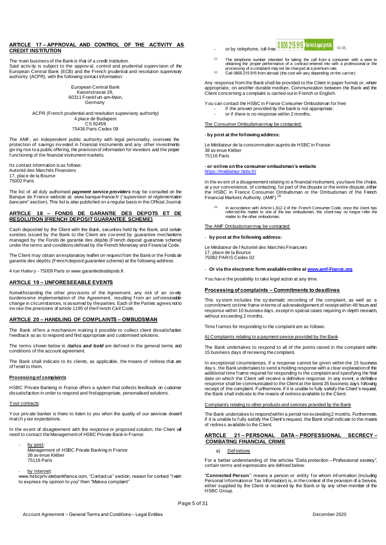#### **ARTICLE 17 – APPROVAL AND CONTROL OF THE ACTIVITY AS CREDIT INSTITUTION**

The main business of the Bank is that of a credit institution.

Said activity is subject to the approval, control and prudential supervision of the European Central Bank (ECB) and the French prudential and resolution supervisory authority (ACPR), with the following contact information:

> European Central Bank Kaiserstrasse 29, 60311 Frankf urt-am-Main, Germany

ACPR (French prudential and resolution supervisory authority) 4 place de Budapest CS 92459 75436 Paris Cedex 09

The AMF, an independent public authority with legal personality, oversees the protection of savings inv ested in f inancial instruments and any other investments giv ing rise to a public offering, the provision of information for investors and the proper f unctioning of the financial instrument markets.

Its contact information is as follows: Autorité des Marchés Financiers 17, place de la Bourse 75002 Paris

The list of all duly authorised *payment service providers* may be consulted on the Banque de France website at: www.banque-france.fr ("*supervision et réglementation bancaire*" section). This list is also published on a regular basis in the Official Journal.

#### **ARTICLE 18 – FONDS DE GARANTIE DES DEPOTS ET DE RESOLUTION (FRENCH DEPOSIT GUARANTEE SCHEME)**

Cash deposited by the Client with the Bank, securities held by the Bank, and certain sureties issued by the Bank to the Client are cov ered by guarantee mechanisms managed by the Fonds de garantie des dépôts (French deposit guarantee scheme) under the terms and conditions defined by the French Monetary and Financial Code.

The Client may obtain an explanatory leaflet on request from the Bank or the Fonds de garantie des dépôts (French deposit guarantee scheme) at the following address:

4 rue Halev y - 75009 Paris [or www.garantiedesdepots.fr](http://www.garantiedesdepots.fr/).

# **ARTICLE 19 – UNFORESEEABLE EVENTS**

Notwithstanding the other provisions of the Agreement, any risk of an overly burdensome implementation of the Agreement, resulting f rom an unf oreseeable change in circumstances, is assumed by the parties. Each of the Parties agrees not to inv oke the provisions of article 1195 of the French Civil Code.

### **ARTICLE 20 – HANDLING OF COMPLAINTS – OMBUDSMAN**

The Bank of fers a mechanism making it possible to collect client dissatisfaction f eedback so as to respond and find appropriate and customised solutions.

The terms shown below in *italics and bold* are def ined in the general terms and conditions of the account agreement.

The Bank shall indicate to its clients, as applicable, the means of redress that are of f ered to them.

### **Processing of complaints**

HSBC Private Banking in France offers a system that collects feedback on customer dissatisfaction in order to respond and find appropriate, personalised solutions.

#### Your contacts:

Your priv ate banker is there to listen to you when the quality of our services doesn't match y our expectations.

In the ev ent of disagreement with the response or proposed solution, the Client will need to contact the Management of HSBC Private Bank in France:

by post Management of HSBC Private Banking in France 38 av enue Kléber 75116 Paris

### by Internet:

www.hsbcpriv atebankfrance.com, "Contact us" section, reason for contact "I wish to express my opinion to you" then "Make a complaint"

- or by telephone, toll-free  $\frac{0.800215915}{250025}$  Service & appel gratuits (1) (2).
- $(1)$  The telephone number intended for taking the call from a consumer with a view to obtaining the proper performance of a contract entered into with a professional or the processing of a complaint may not be charged at a premium rate.
- (2) Call 0800 215 915 from abroad (the cost will vary depending on the carrier)

Any response from the Bank shall be provided to the Client in paper format or, where appropriate, on another durable medium. Communication between the Bank and the Client concerning a complaint is carried out in French or English.

You can contact the HSBC in France Consumer Ombudsman for free: - if the answer provided by the bank is not appropriate; or if there is no response within 2 months.

#### The Consumer Ombudsman may be contacted:

#### - **by post at the following address:**

Le Médiateur de la consommation auprès de HSBC in France 38 av enue Kléber 75116 Paris

#### - **or online on the consumer ombudsman's website** <https://mediateur.hsbc.fr/>

In the ev ent of a disagreement relating to a financial instrument, you have the choice, at y our convenience, of contacting, for part of the dispute or the entire dispute, either the HSBC in France Consumer Ombudsman or the Ombudsman of the French<br>Financial Markets Authority. (AMF)<sup>(3)</sup>

(3) In accordance with Article L612-2 of the French Consumer Code, once the client has referred the matter to one of the two ombudsmen, the client may no longer refer the matter to the other ombudsman.

#### The AMF Ombudsmanmay be contacted:

#### - **by post at the following address:**

Le Médiateur de l'Autorité des Marchés Financiers 17, place de la Bourse

75082 PARIS Cedex 02

#### - **Or via the electronic form available online [at www.amf-France.org](http://www.amf-france.org/)**

You hav e the possibility to take legal action at any time.

### **Processing of complaints – Commitments to deadlines**

This sy stem includes the sy stematic recording of the complaint, as well as a commitment on time frame in terms of acknowledgement of receipt within 48 hours and response within 10 business days, except in special cases requiring in-depth research, without exceeding 2 months.

Time f rames for responding to the complaint are as follows:

#### A) Complaints relating to a payment service provided by the Bank

The Bank undertakes to respond to all of the points raised in the complaint within 15 business days of receiving the complaint.

In exceptional circumstances, if a response cannot be given within the 15 business day s, the Bank undertakes to send a holding response with a clear explanation of the additional time f rame required for responding to the complaint and specifying the final date on which the Client will receive a definitive response. In any event, a definitive response shall be communicated to the Client at the latest 35 business days following receipt of the complaint. Furthermore, if it is unable to fully satisfy the Client's request, the Bank shall indicate to the means of redress available to the Client.

#### Complaints relating to other products and services provided by the Bank

The Bank undertakes to respond within a period not exceeding 2 months. Furthermore, if it is unable to fully satisfy the Client's request, the Bank shall indicate to the means of redress available to the Client.

#### **ARTICLE 21 – PERSONAL DATA – PROFESSIONAL SECRECY – COMBATING FINANCIAL CRIME**

#### a) Def initions

For a better understanding of the articles "Data protection – Professional secrecy", certain terms and expressions are defined below.

"**Connected Person**": means a person or entity f or whom inf ormation (including Personal Information or Tax Information) is, in the context of the provision of a Service, either supplied by the Client or received by the Bank or by any other member of the HSBC Group.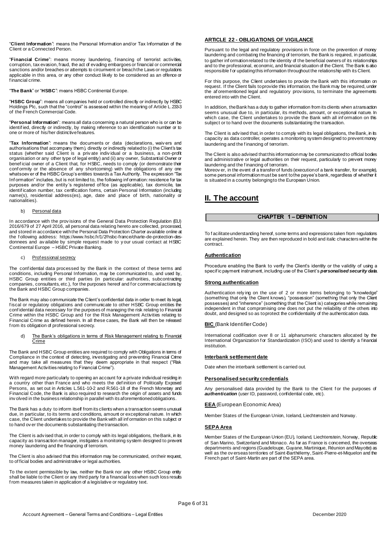"**Client Information**": means the Personal Information and/or Tax Information of the Client or a Connected Person.

"**Financial Crime**": means money laundering, f inancing of terrorist activities, corruption, tax evasion, fraud, the act of evading embargoes or financial or commercial sanctions and/or breaches or attempts to circumvent or breach the Laws or regulations applicable in this area, or any other conduct likely to be considered as an offence or f inancial crime.

"**The Bank**" or "**HSBC**": means HSBC Continental Europe.

"**HSBC Group**": means all companies held or controlled directly or indirectly by HSBC Holdings Plc, such that the "control" is assessed within the meaning of Article L.233-3 of the French Commercial Code.

"**Personal Information**": means all data concerning a natural person who is or can be identified, directly or indirectly, by making reference to an identification number or to one or more of his/her distinctive features.

"**Tax Information**": means the documents or data (declarations, waiv ers and authorisations that accompany them), directly or indirectly related to (i) the Client's tax status (whether said Client is a priv ate indiv idual or a business, a non-profit organisation or any other type of legal entity) and (ii) any owner, Substantial Owner or benef icial owner of a Client that, for HSBC, needs to comply (or demonstrate their conformity or the absence of any shortcoming) with the obligations of any one whatsoev er of the HSBC Group's entities towards a Tax Authority. The expression "Tax Inf ormation" includes, but is not limited to, the following inf ormation: residence for tax purposes and/or the entity 's registered of fice (as applicable), tax domicile, tax identif ication number, tax certification forms, certain Personal Information (including name(s), residential address(es), age, date and place of birth, nationality or nationalities).

#### b) Personal data

In accordance with the provisions of the General Data Protection Regulation (EU) 2016/679 of 27 April 2016, all personal data relating hereto are collected, processed, and stored in accordance with the Personal Data Protection Charter available online at the f ollowing address[: https://www.hsbc.fr/1/2/hsbc-france/charte-de-protection-des](https://www.hsbc.fr/1/2/hsbc-france/charte-de-protection-des-donnees)[donnees](https://www.hsbc.fr/1/2/hsbc-france/charte-de-protection-des-donnees) and av ailable by simple request made to y our usual contact at HSBC Continental Europe – HSBC Private Banking.

#### c) Prof essional secrecy

The conf idential data processed by the Bank in the context of these terms and conditions, including Personal Information, may be communicated to, and used by, HSBC Group entities or third parties (in particular: authorities, subcontracting companies, consultants, etc.), for the purposes hereof and f or commercial actions by<br>the Bank and HSBC Group companies.

The Bank may also communicate the Client's confidential data in order to meet its legal, fiscal or regulatory obligations and communicate to other HSBC Group entities the conf idential data necessary for the purposes of managing the risk relating to Financial Crime within the HSBC Group and f or the Risk Management Activities relating to Financial Crime as defined herein. In all these cases, the Bank will then be released f rom its obligation of professional secrecy.

#### d) The Bank's obligations in terms of Risk Management relating to Financial Crime

The Bank and HSBC Group entities are required to comply with Obligations in terms of Compliance in the context of detecting, investigating and preventing Financial Crime and may take all measures that they deem appropriate in that respect ("Risk Management Activities relating to Financial Crime").

With regard more particularly to opening an account for a private individual residing in a country other than France and who meets the def inition of Politically Exposed Persons, as set out in Articles L.561-10-2 and R.561-18 of the French Monetary and Financial Code, the Bank is also required to research the origin of assets and funds inv olved in the business relationship in parallel with its aforementioned obligations.

The Bank has a duty to inform itself from its clients when a transaction seems unusual due, in particular, to its terms and conditions, amount or exceptional nature. In which case, the Client undertakes to provide the Bank with all inf ormation on this subject or to hand ov er the documents substantiating the transaction.

The Client is adv ised that, in order to comply with its legal obligations, the Bank, in its capacity as transaction manager, instigates a monitoring system designed to prevent money laundering and the financing of terrorism.

The Client is also advised that this information may be communicated, on their request, to of ficial bodies and administrative or legal authorities.

To the extent permissible by law, neither the Bank nor any other HSBC Group entity shall be liable to the Client or any third party for a financial loss when such loss results f rom measures taken in application of a legislative or regulatory text.

#### **ARTICLE 22 - OBLIGATIONS OF VIGILANCE**

Pursuant to the legal and regulatory provisions in force on the prevention of money laundering and combating the financing of terrorism, the Bank is required, in particular, to gather inf ormation related to the identity of the beneficial owners of its relationships and to the professional, economic, and financial situation of the Client. The Bank is also responsible f or updating this information throughout the relationship with its Client.

For this purpose, the Client undertakes to provide the Bank with this information on request. If the Client fails to provide this information, the Bank may be required, under the af orementioned legal and regulatory prov isions, to terminate the agreements entered into with the Client.

In addition, the Bank has a duty to gather information from its clients when a transaction seems unusual due to, in particular, its methods, amount, or exceptional nature. In which case, the Client undertakes to provide the Bank with all inf ormation on this subject or to hand over the documents substantiating the transaction.

The Client is advised that, in order to comply with its legal obligations, the Bank, in its capacity as data controller, operates a monitoring system designed to prevent money laundering and the f inancing of terrorism.

The Client is also advised that this information may be communicated to official bodies and administrative or legal authorities on their request, particularly to prevent money laundering and the f inancing of terrorism.

Moreov er, in the event of a transfer of funds (execution of a bank transfer, for example), some personal information must be sent to the payee's bank, regardless of whether it is situated in a country belonging to the European Union.

# **II. The account**

#### **CHAPTER 1 – DEFINITION**

To f acilitate understanding hereof, some terms and expressions taken from regulations are explained herein. They are then reproduced in bold and italic characters within the contract.

#### **Authentication**

Procedure enabling the Bank to verify the Client's identity or the validity of using a specif ic payment instrument, including use of the Client's *personalised security data*.

#### **Strong authentication**

Authentication rely ing on the use of 2 or more items belonging to "knowledge" (something that only the Client knows), "possession" (something that only the Client possesses) and "inherence" (something that the Client is) categories while remaining independent in that compromising one does not put the reliability of the others into doubt, and designed so as to protect the confidentiality of the authentication data.

#### **BIC** (Bank Identifier Code)

International codification over 8 or 11 alphanumeric characters allocated by the International Organization for Standardization (ISO) and used to identify a financial institution.

#### **Interbank settlement date**

Date when the interbank settlement is carried out.

#### **Personalised security credentials**

Any personalised data provided by the Bank to the Client for the purposes of *authentication* (user ID, password, confidential code, etc).

**EEA** (European Economic Area)

Member States of the European Union, Iceland, Liechtenstein and Norway.

#### **SEPA Area**

Member States of the European Union (EU), Iceland, Liechtenstein, Norway, Republic of San Marino, Switzerland and Monaco. As far as France is concemed, the overseas departments and regions (Guadeloupe, Guyane, Martinique, Réunion and Mayotte) as well as the ov erseas territories of Saint-Barthélemy, Saint-Pierre-et-Miquelon and the French part of Saint-Martin are part of the SEPA area.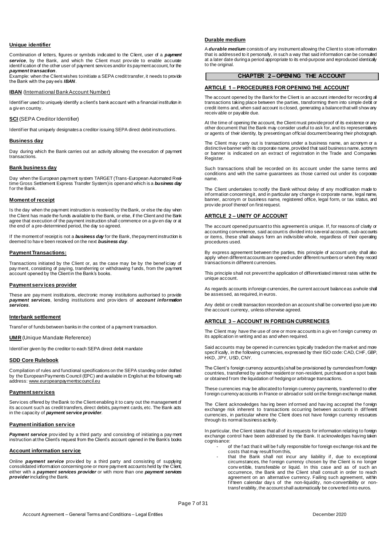#### **Unique identifier**

Combination of letters, figures or symbols indicated to the Client, user of a *payment*  **service**, by the Bank, and which the Client must provide to enable accurate identif ication of the other user of payment services and/or its payment account, for the *payment transaction*.

Example: when the Client wishes to initiate a SEPA credit transfer, it needs to provide the Bank with the pay ee's *IBAN*.

#### **IBAN** (International Bank Account Number)

Identif ier used to uniquely identify a client's bank account with a financial institution in a giv en country

#### **SCI** (SEPA Creditor Identifier)

Identif ier that uniquely designates a creditor issuing SEPA direct debit instructions.

#### **Business day**

Day during which the Bank carries out an activity allowing the execution of payment transactions.

#### **Bank business day**

Day when the European payment system TARGET (Trans-European Automated Realtime Gross Settlement Express Transfer System) is open and which is a *business day* f or the Bank.

#### **Moment of receipt**

Is the day when the payment instruction is received by the Bank, or else the day when the Client has made the funds available to the Bank, or else, if the Client and the Bank agree that execution of the payment instruction shall commence on a giv en day or at the end of a pre-determined period, the day so agreed.

If the moment of receipt is not a *business day* for the Bank, the payment instruction is deemed to hav e been received on the next *business day*.

#### **Payment Transactions:**

Transactions initiated by the Client or, as the case may be by the beneficiary of pay ment, consisting of paying, transferring or withdrawing f unds, from the payment account opened by the Client in the Bank's books.

#### **Payment serv ices provider**

These are pay ment institutions, electronic money institutions authorised to provide *payment services*, lending institutions and prov iders of *account information services*.

#### **Interbank settlement**

Transf er of funds between banks in the context of a payment transaction.

#### **UMR** (Unique Mandate Reference)

Identif ier given by the creditor to each SEPA direct debit mandate

#### **SDD Core Rulebook**

Compilation of rules and functional specifications on the SEPA standing order drafted by the European Payments Council (EPC) and available in English at the following web address: www.europeanpaymentscouncil.eu

#### **Payment serv ices**

Services offered by the Bank to the Client enabling it to carry out the management of its account such as credit transfers, direct debits, payment cards, etc. The Bank acts in the capacity of *payment service provider*.

#### **Payment initiation serv ice**

**Payment service** provided by a third party and consisting of initiating a payment instruction at the Client's request from the Client's account opened in the Bank's books

#### **Account information serv ice**

Online *payment service* prov ided by a third party and consisting of supplying consolidated information concerning one or more payment accounts held by the Client, either with a *payment services provider* or with more than one *payment services provider*including the Bank.

#### **Durable medium**

A *durable medium* consists of any instrument allowing the Client to store information that is addressed to it personally, in such a way that said information can be consulted at a later date during a period appropriate to its end-purpose and reproduced identically to the original.

#### **CHAPTER 2 – OPENING THE ACCOUNT**

#### **ARTICLE 1 – PROCEDURES FOR OPENING THE ACCOUNT**

The account opened by the Bank for the Client is an account intended for recording all transactions taking place between the parties, transforming them into simple debit or credit items and, when said account is closed, generating a balance that will show any receiv able or payable due.

At the time of opening the account, the Client must provide proof of its existence or any other document that the Bank may consider useful to ask for, and its representatives or agents of their identity, by presenting an official document bearing their photograph.

The Client may carry out is transactions under a business name, an acronym or a distinctive banner with its corporate name, provided that said business name, acronym or banner is indicated on an extract of registration in the Trade and Companies Register.

Such transactions shall be recorded on its account under the same terms and conditions and with the same guarantees as those carried out under its corporate name.

The Client undertakes to notify the Bank without delay of any modification made to inf ormation concerning it, and in particular any change in corporate name, legal name, banner, acronym or business name, registered office, legal form, or tax status, and prov ide proof thereof on first request.

#### **ARTICLE 2 – UNITY OF ACCOUNT**

The account opened pursuant to this agreement is unique. If, for reasons of clarity or accounting convenience, said account is divided into several accounts, sub-accounts or items, these shall always form an indivisible whole, regardless of their operating procedures used.

By express agreement between the parties, this principle of account unity shall also apply when different accounts are opened under different numbers or when they record transactions in different currencies.

This principle shall not prevent the application of differentiated interest rates within the unique account.

As regards accounts in foreign currencies, the current account balance as a whole shall be assessed, as required, in euros.

Any debit or credit transaction recorded on an account shall be converted ipso jure into the account currency, unless otherwise agreed.

#### **ARTICLE 3 – ACCOUNT IN FOREIGN CURRENCIES**

The Client may have the use of one or more accounts in a giv en f oreign currency on its application in writing and as and when required.

Said accounts may be opened in currencies typically traded on the market and more specifically, in the following currencies, expressed by their ISO code: CAD, CHF, GBP, HKD, JPY, USD, CNY.

The Client's foreign currency account(s) shall be provisioned by currencies from foreign countries, transferred by another resident or non-resident, purchased on a spot basis or obtained f rom the liquidation of hedging or arbitrage transactions.

These currencies may be allocated to foreign currency payments, transferred to other f oreign currency accounts in France or abroad or sold on the foreign exchange market.

The Client acknowledges hav ing been inf ormed and hav ing accepted the f oreign exchange risk inherent to transactions occurring between accounts in dif ferent currencies, in particular where the Client does not have foreign currency resources through its normal business activity.

In particular, the Client states that all of its requests for information relating to foreign exchange control have been addressed by the Bank. It acknowledges having taken cognisance:

- of the f act that it will be fully responsible for foreign exchange risk and the costs that may result from this,
	- that the Bank shall not incur any liability if, due to exceptional circumstances, the f oreign currency chosen by the Client is no longer conv ertible, transferable or liquid. In this case and as of such an occurrence, the Bank and the Client shall consult in order to reach agreement on an alternative currency. Failing such agreement, within fifteen calendar days of the non-liquidity, non-convertibility or nontransf erability, the account shall automatically be converted into euros.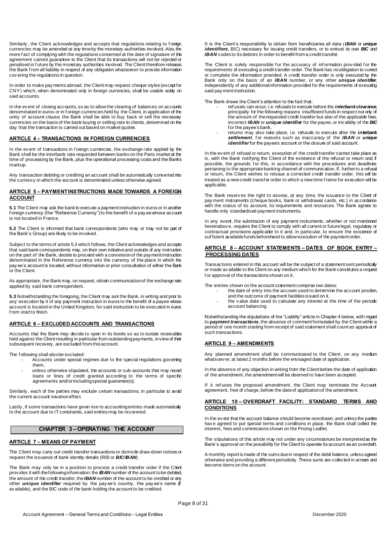Similarly , the Client acknowledges and accepts that regulations relating to f oreign currencies may be amended at any time by the monetary authorities involved. Also, the mere f act of complying with the regulations concerned at the date of signature of this agreement cannot guarantee to the Client that its transactions will not be rejected or penalised in f uture by the monetary authorities involved. The Client therefore releases the Bank f rom all liability in respect of any obligation whatsoever to provide information cov ering the regulations in question.

In order to make pay ments abroad, the Client may request cheque styles (except for CNY) which, when denominated only in foreign currencies, shall be usable solely on said accounts.

In the ev ent of closing accounts, so as to allow the clearing of balances on accounts denominated in euros or in f oreign currencies held by the Client, in application of the unity of account clause, the Bank shall be able to buy back or sell the necessary currencies on the basis of the bank buying or selling rate to clients, determined on the day that the transaction is carried out based on market quotes.

#### **ARTICLE 4 – TRANSACTIONS IN FOREIGN CURRENCIES**

In the ev ent of transactions in f oreign currencies, the exchange rate applied by the Bank shall be the interbank rate requested between banks on the Paris market at the time of processing by the Bank, plus the operational processing costs and the Bank's markup.

Any transaction debiting or crediting an account shall be automatically converted into the currency in which the account is denominated unless otherwise agreed.

#### **ARTICLE 5 – PAYMENT INSTRUCTIONS MADE TOWARDS A FOREIGN ACCOUNT**

**5.1** The Client may ask the bank to execute a payment instruction in euros or in another f oreign currency (the "Reference Currency") to the benefit of a pay ee whose account is not located in France.

**5.2** The Client is informed that bank correspondents (who may or may not be part of the Bank's Group) are likely to be involved.

Subject to the terms of article 5.3 which follows, the Client acknowledges and accepts that said bank correspondents may, on their own initiative and outside of any instruction on the part of the Bank, decide to proceed with a conversion of the payment instruction denominated in the Reference currency into the currency of the place in which the pay ee's account is located, without information or prior consultation of either the Bank or the Client.

As appropriate, the Bank may, on request, obtain communication of the exchange rate applied by said bank correspondent.

**5.3** Notwithstanding the foregoing, the Client may ask the Bank, in writing and prior to any execution by it of any payment instruction in euros to the benefit of a payee whose account is located in the United Kingdom, for said instruction to be executed in euros f rom start to finish.

#### **ARTICLE 6 – EXCLUDED ACCOUNTS AND TRANSACTIONS**

Accounts that the Bank may decide to open in its books so as to isolate receivables held against the Client resulting in particular from outstanding payments, in view of their subsequent recovery, are excluded from this account.

The f ollowing shall also be excluded:

- Accounts under special regimes due to the special regulations governing them,
	- unless otherwise stipulated, the accounts or sub-accounts that may record loans or lines of credit granted according to the terms of specific agreements and/or including special guarantee(s).

Similarly , each of the parties may exclude certain transactions, in particular to avoid the current account novation effect.

Lastly, if some transactions have given rise to accounting entries made automatically to the account due to IT constraints, said entries may be recovered.

### **CHAPTER 3 – OPERATING THE ACCOUNT**

### **ARTICLE 7 – MEANS OF PAYMENT**

The Client may carry out credit transfer transactions or domicile draw-down notices or request the issuance of bank identity details (RIB or *BIC*/*IBAN*).

The Bank may only be in a position to process a credit transfer order if the Client prov ides it with the following information: the *IBAN* number of the account to be debited, the amount of the credit transfer, the *IBAN* number of the account to be credited or any other *unique identifier* required by the pay ee's country, the pay ee's name (if av ailable), and the BIC code of the bank holding the account to be credited.

It is the Client's responsibility to obtain from beneficiaries all data (*IBAN* or *unique identifiers*, BIC) necessary for issuing credit transfers, or to entrust its own **BIC** and *IBAN* codes to its debtors in order to benefit from a credit transfer.

The Client is solely responsible for the accuracy of information provided for the requirements of executing a credit transfer order. The Bank has no obligation to correct or complete the information provided. A credit transfer order is only executed by the Bank only on the basis of an *IBAN* number, or any other *unique identifier*, independently of any additional information provided for the requirements of executing said pay ment instruction.

The Bank draws the Client's attention to the fact that:

- ref usals can occur, i.e. refusals to execute before the *interbank clearance*, principally for the following reasons: insufficient funds in respect not only of the amount of the requested credit transfer but also of the applicable fees incorrect *IBAN* or *unique identifier* for the payee, or inv alidity of the *BIC* f or the payee's bank,
- returns may also take place, i.e. refusals to execute after the *interbank*  settlement, for reasons such as inaccuracy of the **IBAN** or *unique identifier* for the payee's account or the closure of said account.

In the ev ent of refusal or return, execution of the credit transfer cannot take place as is, with the Bank notifying the Client of the existence of the refusal or return and, if possible, the grounds for this, in accordance with the procedures and deadlines pertaining to the appropriate banking channel of communication. If, further to a refusal or return, the Client wishes to reissue a corrected credit transfer order, this will be treated as a new credit transf er order to which a new time f rame for execution will be applicable.

The Bank reserv es the right to assess, at any time, the issuance to the Client of pay ment instruments (cheque books, bank or withdrawal cards, etc.) in accordance with the status of its account, its requirements and resources. The Bank agrees to handle only standardised payment instruments.

In any event, the submission of any payment instruments, whether or not mentioned hereinabov e, requires the Client to comply with all current or future legal, regulatory or contractual provisions applicable to it and, in particular, to ensure the existence of suf ficient available funds beforehand to allow execution of the payment order.

#### **ARTICLE 8 – ACCOUNT STATEMENTS – DATES OF BOOK ENTRY – PROCESSING DATES**

Transactions entered in this account will be the subject of a statement sent periodically or made av ailable to the Client on any medium which for the Bank constitutes a request f or approval of the transactions shown on it.

The entries shown on the account statement comprise two dates:

- the date of entry into the account used to determine the account position, and the outcome of payment facilities issued on it,
- the v alue date used to calculate any interest at the time of the periodic account balancing.

Notwithstanding the stipulations of the "Liability" article in Chapter 4 below, with regard to *payment transactions*, the absence of comment formulated by the Client within a period of one month starting from receipt of said statement shall count as approval of such transactions.

#### **ARTICLE 9 – AMENDMENTS**

Any planned amendment shall be communicated to the Client, on any medium whatsoev er, at latest 2 months before the envisaged date of application.

In the absence of any objection in writing from the Client before the date of application of the amendment, the amendment will be deemed to have been accepted.

# If it ref uses the proposed amendment, the Client may terminate the Account agreement, free of charge, before the date of application of the amendment.

#### **ARTICLE 10 – OVERDRAFT FACILITY: STANDARD TERMS AND CONDITIONS**

In the ev ent that the account balance should become overdrawn, and unless the parties hav e agreed to put special terms and conditions in place, the Bank shall collect the interest, fees and commissions shown on the Pricing Leaflet.

The stipulations of this article may not under any circumstances be interpreted as the Bank's approval on the possibility for the Client to operate its account as an overdraft.

A monthly report is made of the sums due in respect of the debit balance, unless agreed otherwise and providing a different periodicity. These sums are collected in arrears and become items on the account.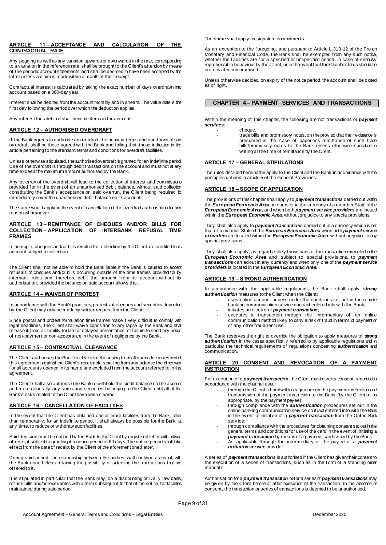#### **ARTICLE 11 – ACCEPTANCE AND CALCULATION OF THE CONTRACTUAL RATE**

Any pegging as well as any variation upwards or downwards in the rate, corresponding to a v ariation in the reference rate, shall be brought to the Client's attention by means of the periodic account statements, and shall be deemed to have been accepted by the latter unless a claim is made within a month of their receipt.

Contractual interest is calculated by taking the exact number of days overdrawn into account based on a 360-day year.

Interest shall be debited from the account monthly and in arrears. The value date is the first day following the period over which the deduction applies.

Any interest thus debited shall become items in the account.

#### **ARTICLE 12 – AUTHORISED OVERDRAFT**

If the Bank agrees to authorise an overdraft, the financial terms and conditions of said ov erdraft shall be those agreed with the Bank and failing that, those indicated in the article pertaining to the standard terms and conditions for overdraft facilities.

Unless otherwise stipulated, the authorised overdraft is granted for an indefinite period. Use of the overdraft is through debit transactions on the account and must not at any time exceed the maximum amount authorised by the Bank.

Any ov errun of the overdraft will lead to the collection of interest and commissions prov ided f or in the ev ent of an unauthorised debit balance, without said collection constituting the Bank's acceptance on said ov errun, the Client being required to immediately cover the unauthorised debit balance on its account.

The same would apply in the event of cancellation of the overdraft authorisation for any reason whatsoever.

#### **ARTICLE 13 – REMITTANCE OF CHEQUES AND/OR BILLS FOR COLLECTION – APPLICATION OF INTERBANK REFUSAL TIME FRAMES**

In principle, cheques and/or bills remitted for collection by the Client are credited to its account subject to collection.

The Client shall not be able to hold the Bank liable if the Bank is caused to accept ref usals of cheques and/or bills occurring outside of the time frames provided for by interbank rules and therefore debit the amount from its account without its authorisation, provided the balance on said account allows this.

#### **ARTICLE 14 – WAIVER OF PROTEST**

In accordance with the Bank's practices, protests of cheques and securities deposited by the Client may only be made by written request from the Client.

Since postal and protest formulation time frames make it very difficult to comply with legal deadlines, the Client shall waive opposition to any lapse by the Bank and shall release it f rom all liability for late or delayed presentation, or failure to send any notice of non-payment or non-acceptance in the event of negligence by the Bank.

#### **ARTICLE 15 – CONTRACTUAL CLEARANCE**

The Client authorises the Bank to clear its debt arising from all sums due in respect of this agreement against the Client's receivable resulting from any balance the other way for all accounts opened in its name and excluded from the account referred to in this agreement.

The Client shall also authorise the Bank to withhold the credit balance on the account and more generally any sums and securities belonging to the Client until all of the Bank's risks related to the Client have been cleared.

#### **ARTICLE 16 – CANCELLATION OF FACILITIES**

In the ev ent that the Client has obtained one or more facilities from the Bank, other than temporarily, for an indefinite period, it shall always be possible for the Bank, at any time, to reduce or withdraw such facilities.

Said decision must be notified by the Bank to the Client by registered letter with advice of receipt subject to granting it a notice period of 60 days. The notice period shall take ef f ect from the date of receipt by the Client of the aforementioned letter.

During said period, the relationship between the parties shall continue as usual, with the Bank nonetheless retaining the possibility of selecting the transactions that are of f ered to it.

It is stipulated in particular that the Bank may, on a discounting or Dailly law basis, ref use bills and/or receivables with a term subsequent to that of the notice, for facilities maintained during said period.

The same shall apply for signature commitments.

As an exception to the f oregoing, and pursuant to Article L.313-12 of the French Monetary and Financial Code, the Bank shall be exempted f rom any such notice, whether the facilities are for a specified or unspecified period, in case of seriously reprehensible behaviour by the Client, or in the event that the Client's status should be irretriev ably compromised.

Unless otherwise decided, on expiry of the notice period, the account shall be closed as of right.

#### **CHAPTER 4 – PAYMENT SERVICES AND TRANSACTIONS**

Within the meaning of this chapter, the f ollowing are not transactions or *payment services*: cheque

trade bills and promissory notes, on the proviso that their existence is presumed in the case of paperless remittance of such trade bills/promissory notes to the Bank unless otherwise specified in writing at the time of remittance by the Client.

#### **ARTICLE 17 – GENERAL STIPULATIONS**

The rules detailed hereinafter apply to the Client and the Bank in accordance with the principles def ined in article 5 of the General Provisions.

#### **ARTICLE 18 – SCOPE OF APPLICATION**

The prov isions of this chapter shall apply to *payment transactions* carried out within the *European Economic Area*, in euros or in the currency of a member State of the *European Economic Area*, and when both *payment service providers* are located within the *European Economic Area*, without prejudice to any special provisions.

They shall also apply to *payment transactions* carried out in a currency which is not that of a member State of the *European Economic Area* when both *payment service providers* are located within the *European Economic Area*, without prejudice to any special prov isions.

They shall also apply, as regards solely those parts of the transaction executed in the *European Economic Area* and subject to special prov isions, to *payment transactions* carried out in any currency and when only one of the *payment service providers* is located in the *European Economic Area.*

#### **ARTICLE 19 – STRONG AUTHENTICATION**

In accordance with the applicable regulations, the Bank shall apply *strong authentication* measures to the Client when the Client:

- uses online account access under the conditions set out in the remote banking communication service contract entered into with the Bank;
- initiates an electronic *payment transaction*;
- executes a transaction through the intermediary of an online communication method likely to carry a risk of fraud in terms of payment or of any other fraudulent use.

The Bank reserves the right to override the obligation to apply measures of *strong*  authentication in the cases specifically referred to by applicable regulations and in particular the technical requirements of regulations concerning *authentication* and communication.

#### **ARTICLE 20 – CONSENT AND REVOCATION OF A PAYMENT INSTRUCTION**

For execution of a *payment transaction*, the Client must give its consent, recorded in accordance with the channel used:

- through the Client's handwritten signature on the pay ment instruction and transmission of the payment instruction to the Bank (by the Client or, as appropriate, by the payment payee);
- through compliance with the *authentication* procedures set out in the online banking communication service contract entered into with the Bank in the ev ent of initiation of a *payment transaction* from the Online Bank serv ice;
- through compliance with the procedures for obtaining consent set out in the general terms and conditions for use of the card in the event of initiating a *payment transaction* by means of a payment card issued by the Bank.
- As applicable through the intermediary of the pay ee or a *payment initiation service* provider.

A series of *payment transactions* is authorised if the Client has given their consent to the execution of a series of transactions, such as in the form of a standing order mandate.

Authorisation for a *payment transaction* or for a series of *payment transactions* may be giv en by the Client before or after execution of the transaction. In the absence of consent, the transaction or series of transactions is deemed to be unauthorised.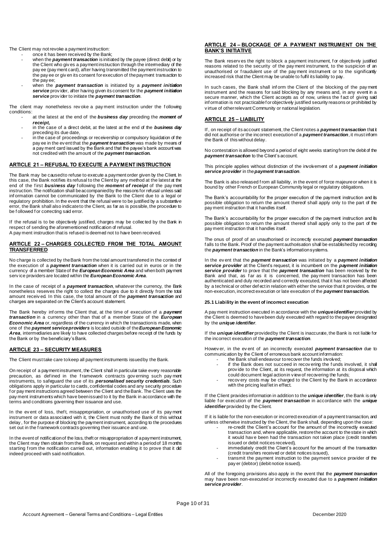The Client may not revoke a payment instruction:

- once it has been received by the Bank;
	- when the *payment transaction* is initiated by the payee (direct debit) or by the Client who giv es a payment instruction through the intermediary of the pay ee (pay ment card), after having transmitted the payment instruction to the pay ee or giv en its consent for execution of the payment transaction to the pay ee;
	- when the *payment transaction* is initiated by a *payment initiation service* prov ider, after having given its consent for the *payment initiation service* prov ider to initiate the *payment transaction*.

The client may nonetheless rev oke a pay ment instruction under the f ollowing conditions:

- at the latest at the end of the **business day** preceding the **moment of** *receipt,*
- in the case of a direct debit, at the latest at the end of the *business day* preceding its due date,
- in the case of proceedings or receivership or compulsory liquidation of the pay ee in the ev ent that the *payment transaction* was made by means of a pay ment card issued by the Bank and that the payee's bank account was not credited with the amount of the *payment transaction.*

### **ARTICLE 21 – REFUSAL TO EXECUTE A PAYMENT INSTRUCTION**

The Bank may be caused to refuse to execute a payment order given by the Client. In this case, the Bank notifies its refusal to the Client by any method at the latest at the end of the first **business day** following the **moment of receipt** of the pay ment instruction. The notification shall be accompanied by the reasons for refusal unless said inf ormation cannot be communicated by the Bank to the Client due to a legal or regulatory prohibition. In the event that the refusal were to be justified by a substantive error, the Bank shall also indicate to the Client, as far as is possible, the procedure to be f ollowed f or correcting said error.

If the refusal is to be objectively justified, charges may be collected by the Bank in respect of sending the aforementioned notification of refusal.

A pay ment instruction that is refused is deemed not to have been received.

#### **ARTICLE 22 – CHARGES COLLECTED FROM THE TOTAL AMOUNT TRANSFERRED**

No charge is collected by the Bank from the total amount transferred in the context of the execution of a *payment transaction* when it is carried out in euros or in the currency of a member State of the *European Economic Area* and when both payment serv ice providers are located within the *European Economic Area*.

In the case of receipt of a *payment transaction*, whatever the currency, the Bank nonetheless reserves the right to collect the charges due to it directly from the total amount receiv ed. In this case, the total amount of the *payment transaction* and charges are separated on the Client's account statement.

The Bank hereby inf orms the Client that, at the time of execution of a *payment transaction* in a currency other than that of a member State of the *European Economic Area* or, regardless of the currency in which the transaction is made, when one of the *payment service providers* is located outside of the *European Economic Area*, intermediaries are likely to have collected charges before receipt of the funds by the Bank or by the beneficiary's Bank.

#### **ARTICLE 23 – SECURITY MEASURES**

The Client must take care to keep all payment instruments issued by the Bank.

On receipt of a payment instrument, the Client shall in particular take every reasonable precaution, as defined in the framework contracts governing such payment instruments, to safeguard the use of its *personalised security credentials*. Such obligations apply in particular to cards, confidential codes and any security procedure f or pay ment instructions agreed between the Client and the Bank. The Client uses the pay ment instruments which have been issued to it by the Bank in accordance with the terms and conditions governing their issuance and use.

In the ev ent of loss, theft, misappropriation, or unauthorised use of its payment instrument or data associated with it, the Client must notify the Bank of this without delay , for the purpose of blocking the payment instrument, according to the procedures set out in the f ramework contracts governing their issuance and use.

In the event of notification of the loss, the ft or misappropriation of a payment instrument, the Client may then obtain from the Bank, on request and within a period of 18 months starting f rom the notification carried out, information enabling it to prove that it did indeed proceed with said notification.

## **ARTICLE 24 – BLOCKAGE OF A PAYMENT INSTRUMENT ON THE BANK'S INITIATIVE**

The Bank reserv es the right to block a payment instrument, for objectively justified reasons related to the security of the pay ment instrument, to the suspicion of an unauthorised or f raudulent use of the pay ment instrument or to the significantly increased risk that the Client may be unable to fulfil its liability to pay.

In such cases, the Bank shall inform the Client of the blocking of the payment instrument and the reasons for said blocking by any means and, in any event in a secure manner, which the Client accepts as of now, unless the fact of giving said inf ormation is not practicable f or objectively justified security reasons or prohibited by v irtue of other relevant Community or national legislation.

#### **ARTICLE 25 – LIABILITY**

If , on receipt of its account statement, the Client notes a *payment transaction* that it did not authorise or the incorrect execution of a *payment transaction*, it must inform the Bank of this without delay.

No contestation is allowed beyond a period of eight weeks starting from the debit of the *payment transaction* to the Client's account.

This principle applies without distinction of the involvement of a *payment initiation service provider* in the *payment transaction*.

The Bank is also released f rom all liability, in the event of force majeure or when it is bound by other French or European Community legal or regulatory obligations.

The Bank's accountability for the proper execution of the payment instruction and its possible obligation to return the amount thereof shall apply only to the part of the pay ment instruction that it handles itself.

The Bank's accountability for the proper execution of the payment instruction and its possible obligation to return the amount thereof shall apply only to the part of the pay ment instruction that it handles itself.

The onus of proof of an unauthorised or incorrectly executed *payment transaction* falls to the Bank. Proof of the payment authorisation shall be established by recording the *payment transaction* in the Bank's information systems.

In the ev ent that the *payment transaction* was initiated by a *payment initiation service provider* at the Client's request, it is incumbent on the *payment initiation service provider* to prove that the *payment transaction* has been received by the Bank and that, as far as it is concerned, the pay ment transaction has been authenticated and duly recorded and correctly executed, that it has not been affected by a technical or other def ect in relation with either the service that it provides, or the non-execution, incorrect execution or late execution of the *payment transaction.*

#### **25.1 Liability in the event of incorrect execution**

A pay ment instruction executed in accordance with the *unique identifier* provided by the Client is deemed to have been duly executed with regard to the payee designated by the *unique identifier*.

If the *unique identifier* provided by the Client is inaccurate, the Bank is not liable for the incorrect execution of the *payment transaction*.

Howev er, in the ev ent of an incorrectly executed *payment transaction* due to communication by the Client of erroneous bank account information:

- the Bank shall endeavour to recover the funds involved; if the Bank does not succeed in recovering the funds involved, it shall prov ide to the Client, at its request, the information at its disposal which
- could document legal action in v iew of recovering the funds; - recov ery costs may be charged to the Client by the Bank in accordance
	- with the pricing leaf let in effect.

If the Client provides information in addition to the *unique identifier*, the Bank is only liable for execution of the *payment transaction* in accordance with the *unique identifier* provided by the Client.

If it is liable for the non-execution or incorrect execution of a payment transaction, and unless otherwise instructed by the Client, the Bank shall, depending upon the case:

- re-credit the Client's account for the amount of the incorrectly executed transaction and, where applicable, restore the account to the state in which it would hav e been had the transaction not taken place (credit transfers issued or debit notices received),
- immediately credit the Client's account for the amount of the transaction (credit transfers received or debit notices issued),
- transmit the payment instruction to the payment service provider of the pay er (debtor) (debit notice issued).

All of the foregoing provisions also apply in the event that the *payment transaction* may have been non-executed or incorrectly executed due to a *payment initiation service provider*.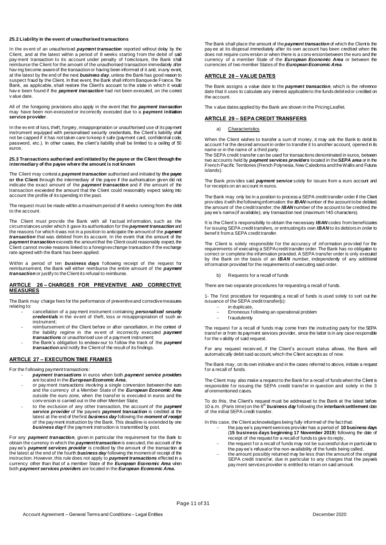#### **25.2 Liability in the event of unauthorised transactions**

In the ev ent of an unauthorised *payment transaction* reported without delay by the Client, and at the latest within a period of 8 weeks starting from the debit of said pay ment transaction to its account under penalty of foreclosure, the Bank shall reimburse the Client for the amount of the unauthorised transaction immediately after having become aware of the transaction or having been informed of it and, in any event at the latest by the end of the next *business day*, unless the Bank has good reason to suspect fraud by the Client. In that event, the Bank shall inform Banque de France. The Bank, as applicable, shall restore the Client's account to the state in which it would have been found if the **payment transaction** had not been executed, on the correct v alue date.

All of the foregoing provisions also apply in the event that the *payment transaction* may have been non-executed or incorrectly executed due to a **payment initiation service provider**.

In the ev ent of loss, theft, forgery, misappropriation or unauthorised use of its payment instrument equipped with personalised security credentials, the Client's liability shall not be capped if it has not taken care to keep it safe (payment card, confidential code, password, etc.). In other cases, the client's liability shall be limited to a ceiling of 50 euros.

#### **25.3 Transactions authorised and initiated by the payee or the Client through the intermediary of the payee where the amount is not known**

The Client may contest a *payment transaction* authorised and initiated by **the payee or the Client** through the intermediary of the payee if the authorisation given did not indicate the exact amount of the *payment transaction* and if the amount of the transaction exceeded the amount that the Client could reasonably expect taking into account the profile of its spending in the past.

The request must be made within a maximum period of 8 weeks running from the debit to the account.

The Client must provide the Bank with all factual information, such as the circumstances under which it gave its authorisation for the *payment transaction* and the reasons f or which it was not in a position to anticipate the amount of the *payment transaction* that was debited from its account. In the event that the amount of the *payment transaction* exceeds the amount that the Client could reasonably expect, the Client cannot invoke reasons linked to a foreign exchange transaction if the exchange rate agreed with the Bank has been applied.

Within a period of ten **business days** following receipt of the request for reimbursement, the Bank will either reimburse the entire amount of the *payment transaction* or justify to the Client its refusal to reimburse.

#### **ARTICLE 26 – CHARGES FOR PREVENTIVE AND CORRECTIVE MEASURES**

The Bank may charge fees for the performance of preventive and corrective measures relating to:

- cancellation of a pay ment instrument containing *personalised security credentials* in the ev ent of theft, loss or misappropriation of such an instrument;
- reimbursement of the Client before or after cancellation, in the context of the liability regime in the ev ent of incorrectly executed *payment transactions* or unauthorised use of a payment instrument;
- the Bank's obligation to endeav our to f ollow the track of the *payment transaction* and notify the Client of the result of its findings.

#### **ARTICLE 27 – EXECUTION TIME FRAMES**

For the f ollowing payment transactions:

- *payment transactions* in euros when both *payment service providers* are located in the *European Economic Area*,
- or pay ment transactions involving a single conversion between the euro and the currency of a Member State of the *European Economic Area* outside the euro zone, when the transf er is executed in euros and the conv ersion is carried out in the other Member State;
- to the exclusion of any other transaction, the account of the *payment service provider* of the payee's *payment transaction* is credited at the latest at the end of the first *business day* following the *moment of receipt* of the pay ment instruction by the Bank. This deadline is extended by one *business day*if the payment instruction is transmitted by post.

For any *payment transaction*, given in particular the requirement for the Bank to obtain the currency in which the *payment transaction* is executed, the account of the pay ee's *payment services provider* is credited by the amount of the transaction at the latest at the end of the fourth *business day* following the moment of receipt of the instruction. However, this rule does not apply to *payment transactions* effected in a currency other than that of a member State of the *European Economic Area* when both *payment services providers* are located in the *European Economic Area.*

The Bank shall place the amount of the *payment transaction* of which the Client is the pay ee at its disposal immediately after its own account has been credited when this does not require conv ersion or when there is a conv ersion between the euro and the currency of a member State of the *European Economic Area* or between the currencies of two member States of the *European Economic Area*.

#### **ARTICLE 28 – VALUE DATES**

The Bank assigns a value date to the *payment transaction*, which is the reference date that it uses to calculate any interest applicable to the funds debited or credited on the account.

The v alue dates applied by the Bank are shown in the Pricing Leaflet.

#### **ARTICLE 29 – SEPA CREDIT TRANSFERS**

#### a) Characteristics

When the Client wishes to transfer a sum of money, it may ask the Bank to debit its account for the desired amount in order to transfer it to another account, opened in its name or in the name of a third party.

The SEPA credit transfer can be used for transactions denominated in euros, between two accounts held by *payment services providers* located in the *SEPA area* or in the French Pacific Territories (French Polynesia, New Caledonia and the Wallis and Futuna islands).

The Bank prov ides said *payment service* solely for issues from a euro account and f or receipts on an account in euros.

The Bank may only be in a position to process a SEPA credit transfer order if the Client prov ides it with the following information: the *IBAN* number of the account to be debited; the amount of the credit transfer; the *IBAN* number of the account to be credited; the pay ee's name (if available); any transaction text (maximum 140 characters).

It is the Client's responsibility to obtain the necessary *IBAN* codes from beneficiaries f or issuing SEPA credit transfers, or entrusting its own *IBAN* to its debtors in order to benef it from a SEPA credit transfer.

The Client is solely responsible for the accuracy of information provided for the requirements of executing a SEPA credit transfer order. The Bank has no obligation to correct or complete the information provided. A SEPA transfer order is only executed by the Bank on the basis of an **IBAN** number, independently of any additional inf ormation provided for the requirements of executing said order.

b) Requests for a recall of funds

There are two separate procedures for requesting a recall of funds.

1- The f irst procedure for requesting a recall of funds is used solely to sort out the issuance of the SEPA credit transfer(s):

- $\overline{ }$  in duplicate,<br> $\overline{ }$  Frroneous for
- Erroneous f ollowing an operational problem
- f raudulently

The request for a recall of funds may come from the instructing party for the SEPA transf er or from its payment services provider, since the latter is in any case responsible f or the v alidity of said request.

For any request receiv ed, if the Client's account status allows, the Bank will automatically debit said account, which the Client accepts as of now.

The Bank may , on its own initiative and in the cases referred to above, initiate a request f or a recall of funds.

The Client may also make a request to the Bank for a recall of funds when the Client is responsible for issuing the SEPA credit transfer in question and solely in the 3 af orementioned cases.

To do this, the Client's request must be addressed to the Bank at the latest before 10 a.m. (Paris time)on the 8th *business day* following the **interbank settlement** date of the initial SEPA credit transfer.

In this case, the Client acknowledges being fully informed of the fact that:

- the pay ee's payment services provider has a period of **10 business days** (**15 business days beginning 17 November 2019**) following the date of receipt of the request for a recall of funds to give its reply,
- the request f or a recall of funds may not be successful due in particular to the pay ee's refusal or the non-availability of the funds being called,
- the amount possibly returned may be less than the amount of the original SEPA credit transfer, due in particular to any charges that the payee's pay ment services provider is entitled to retain on said amount.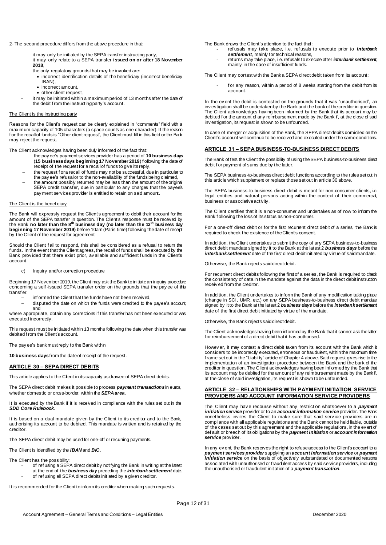#### 2- The second procedure differs from the above procedure in that:

- it may only be initiated by the SEPA transfer instructing party,
- it may only relate to a SEPA transfer **issued on or after 18 November 2018**,
- the only regulatory grounds that may be invoked are:
	- incorrect identification details of the beneficiary (incorrect beneficiary IBAN),
		- incorrect amount.
		- other client request,
- it may be initiated within a maximum period of 13 months after the date of the debit f rom the instructing party's account.

#### The Client is the instructing party

Reasons for the Client's request can be clearly explained in "comments" field with a maximum capacity of 105 characters (a space counts as one character). If the reason for the recall of funds is "Other client request", the Client must fill in this field or the Bank may reject the request.

The Client acknowledges having been duly informed of the fact that:

- the pay ee's payment services provider has a period of **10 business days** (**15 business days beginning 17 November 2019**) f ollowing the date of receipt of the request for a recall of funds to give its reply,
- the request f or a recall of funds may not be successful, due in particular to the pay ee's refusal or to the non-availability of the funds being claimed,
- the amount possibly returned may be less than the amount of the original SEPA credit transfer, due in particular to any charges that the payee's pay ment services provider is entitled to retain on said amount.

#### The Client is the beneficiary

The Bank will expressly request the Client's agreement to debit their account for the amount of the SEPA transfer in question. The Client's response must be received by the Bank **no later than the 8th business day (no later than the 13th business day beginning 17 November 2019)** before 10am (Paris time) following the date of receipt by the Client of the request for agreement.

Should the Client f ail to respond, this shall be considered as a refusal to retum the f unds. In the event that the Client agrees, the recall of funds shall be executed by the Bank prov ided that there exist prior, av ailable and suf ficient f unds in the Client's account.

c) Inquiry and/or correction procedure

Beginning 17 November 2019, the Client may ask the Bank to initiate an inquiry procedure concerning a self-issued SEPA transfer order on the grounds that the pay ee of this transf er:

- inf ormed the Client that the funds have not been received,
- disputed the date on which the funds were credited to the payee's account, and

where appropriate, obtain any corrections if this transfer has not been executed or was executed incorrectly.

This request must be initiated within 13 months following the date when this transfer was debited from the Client's account.

The pay ee's bank must reply to the Bank within

**10 business days**from the date of receipt of the request.

#### **ARTICLE 30 – SEPA DIRECT DEBITS**

This article applies to the Client in its capacity as drawee of SEPA direct debits.

The SEPA direct debit makes it possible to process *payment transactions*in euros, whether domestic or cross-border, within the *SEPA area*.

It is executed by the Bank if it is received in compliance with the rules set out in the *SDD Core Rulebook*.

It is based on a dual mandate giv en by the Client to its creditor and to the Bank, authorising its account to be debited. This mandate is written and is retained by the creditor.

The SEPA direct debit may be used for one-off or recurring payments.

The Client is identified by the *IBAN* and *BIC*.

The Client has the possibility:

- of ref using a SEPA direct debit by notifying the Bank in writing at the latest at the end of the *business day* preceding the *interbank settlement* date.
- of ref using all SEPA direct debits initiated by a given creditor.

It is recommended for the Client to inform its creditor when making such requests.

The Bank draws the Client's attention to the fact that:

- ref usals may take place, i.e. ref usals to execute prior to *interbank*  **settlement**, mainly for technical reasons.
- returns may take place, i.e. refusals to execute after *interbank settlement*, mainly in the case of insufficient funds.

The Client may contest with the Bank a SEPA direct debit taken from its account:

f or any reason, within a period of 8 weeks starting from the debit from its account.

In the ev ent the debit is contested on the grounds that it was "unauthorised", an inv estigation shall be undertaken by the Bank and the bank of the creditor in question. The Client acknowledges having been informed by the Bank that its account may be debited for the amount of any reimbursement made by the Bank if, at the close of said inv estigation, its request is shown to be unfounded.

In case of merger or acquisition of the Bank, the SEPA direct debits domiciled on the Client's account will continue to be received and executed under the same conditions.

#### **ARTICLE 31 – SEPA BUSINESS-TO-BUSINESS DIRECT DEBITS**

The Bank of fers the Client the possibility of using the SEPA business-to-business direct debit f or payment of sums due by the latter.

The SEPA business-to-business direct debit functions according to the rules set out in this article which supplement or replace those set out in article 30 above.

The SEPA business-to-business direct debit is meant for non-consumer clients, i.e. legal entities and natural persons acting within the context of their commercial, business or associative activity.

The Client certifies that it is a non-consumer and undertakes as of now to inform the Bank f ollowing the loss of its status as non-consumer.

For a one-off direct debit or for the first recurrent direct debit of a series, the Bank is required to check the existence of the Client's consent.

In addition, the Client undertakes to submit the copy of any SEPA business-to-business direct debit mandate signed by it to the Bank at the latest 2 *business days* before the *interbank settlement* date of the first direct debit initiated by virtue of said mandate.

Otherwise, the Bank rejects said direct debit.

For recurrent direct debits following the first of a series, the Bank is required to check the consistency of data in the mandate against the data in the direct debit instruction receiv ed from the creditor.

In addition, the Client undertakes to inform the Bank of any modification taking place (change in SCI, UMR, etc.) on any SEPA business-to-business direct debit mandate signed by it to the Bank at the latest 2 *business days* before the *interbank settlement* date of the first direct debit initiated by virtue of the mandate.

Otherwise, the Bank rejects said direct debit.

The Client acknowledges having been informed by the Bank that it cannot ask the latter f or reimbursement of a direct debit that it has authorised.

Howev er, it may contest a direct debit taken from its account with the Bank which it considers to be incorrectly executed, erroneous or fraudulent, within the maximum time f rame set out in the "Liability" article of Chapter 4 above. Said request gives rise to the implementation of an investigation procedure between the Bank and the bank of the creditor in question. The Client acknowledges having been inf ormed by the Bank that its account may be debited for the amount of any reimbursement made by the Bank if, at the close of said investigation, its request is shown to be unfounded.

#### **ARTICLE 32 – RELATIONSHIPS WITH PAYMENT INITIATION SERVICE PROVIDERS AND ACCOUNT INFORMATION SERVICE PROVIDERS**

The Client may hav e recourse without any restriction whatsoever to a *payment initiation service* provider or to an *account information service*provider. The Bank nonetheless inv ites the Client to make sure that said serv ice prov iders are in compliance with all applicable regulations and the Bank cannot be held liable, outside of the cases set out by this agreement and the applicable regulations, in the ev ent of def ault or breach of its obligations by the *payment initiation* or *account information service* prov ider.

In any ev ent, the Bank reserves the right to refuse access to the Client's account to a *payment services provider* supplying an *account information service* or *payment initiation service* on the basis of objectively substantiated or documented reasons associated with unauthorised or fraudulent access by said service providers, including the unauthorised or fraudulent initiation of a *payment transaction*.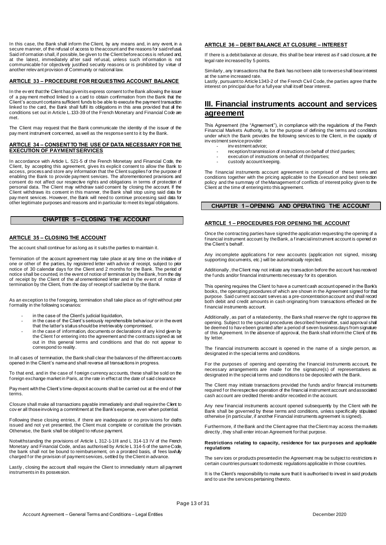In this case, the Bank shall inform the Client, by any means and, in any event, in a secure manner, of the refusal of access to the account and the reasons for said refusal. Said inf ormation shall, if possible, be given to the Client before access is refused and, at the latest, immediately af ter said ref usal, unless such inf ormation is not communicable f or objectively justified security reasons or is prohibited by virtue of another relev ant provision of Community or national law.

#### **ARTICLE 33 – PROCEDURE FOR REQUESTING ACCOUNT BALANCE**

In the ev ent that the Client has given its express consent to the Bank allowing the issuer of a pay ment method linked to a card to obtain confirmation from the Bank that the Client's account contains sufficient funds to be able to execute the payment transaction linked to the card, the Bank shall fulfil its obligations in this area provided that all the conditions set out in Article L.133-39 of the French Monetary and Financial Code are met.

The Client may request that the Bank communicate the identity of the issuer of the pay ment instrument concerned, as well as the response sent to it by the Bank.

#### **ARTICLE 34 – CONSENT TO THE USE OF DATA NECESSARY FOR THE EXECUTION OF PAYMENT SERVICES**

In accordance with Article L. 521-5 of the French Monetary and Financial Code, the Client, by accepting this agreement, gives its explicit consent to allow the Bank to access, process and store any information that the Client supplies for the purpose of enabling the Bank to provide payment services. The aforementioned provisions and consent do not affect our respective rights and obligations in terms of protection of personal data. The Client may withdraw said consent by closing the account. If the Client withdraws its consent in this manner, the Bank shall stop using said data for pay ment services. However, the Bank will need to continue processing said data for other legitimate purposes and reasons and in particular to meet its legal obligations.

#### **CHAPTER 5 – CLOSING THE ACCOUNT**

#### **ARTICLE 35 – CLOSING THE ACCOUNT**

The account shall continue for as long as it suits the parties to maintain it.

Termination of the account agreement may take place at any time on the initiative of one or other of the parties, by registered letter with advice of receipt, subject to prior notice of 30 calendar days for the Client and 2 months for the Bank. The period of notice shall be counted, in the event of notice of termination by the Bank, from the day of receipt by the Client of the af orementioned letter and in the ev ent of notice of termination by the Client, from the day of receipt of said letter by the Bank.

As an exception to the f oregoing, termination shall take place as of right without prior f ormality in the following scenarios:

- in the case of the Client's judicial liquidation,
- in the case of the Client's seriously reprehensible behaviour or in the event that the latter's status should be irretrievably compromised,
- in the case of information, documents or declarations of any kind given by the Client for entering into the agreement and the contracts signed as set out in this general terms and conditions and that do not appear to correspond to reality.

In all cases of termination, the Bank shall clear the balances of the different accounts opened in the Client's name and shall reverse all transactions in progress.

To that end, and in the case of f oreign currency accounts, these shall be sold on the f oreign exchange market in Paris, at the rate in effect at the date of said clearance

Pay ment with the Client's time-deposit accounts shall be carried out at the end of their terms.

Closure shall make all transactions payable immediately and shall require the Client to cov er all those involving a commitment at the Bank's expense, even when potential.

Following these closing entries, if there are inadequate or no prov isions for drafts issued and not y et presented, the Client must complete or constitute the provision. Otherwise, the Bank shall be obliged to refuse payment.

Notwithstanding the provisions of Article L 312-1-1III and L 314-13 IV of the French Monetary and Financial Code, and as authorised by Article L 314-5 of the same Code, the bank shall not be bound to reimbursement, on a prorated basis, of fees lawfully charged f or the provision of payment services, settled by the Client in advance

Lastly , closing the account shall require the Client to immediately return all payment instruments in its possession.

#### **ARTICLE 36 – DEBIT BALANCE AT CLOSURE – INTEREST**

If there is a debit balance at closure, this shall be bear interest as if said closure, at the legal rate increased by 5 points.

Similarly , any transactions that the Bank has not been able to reverse shall bear interest at the same increased rate.

Lastly, pursuant to Article 1343-2 of the French Civil Code, the parties agree that the interest on principal due for a full year shall itself bear interest.

# **III. Financial instruments account and services agreement**

This Agreement (the "Agreement"), in compliance with the regulations of the French Financial Markets Authority, is for the purpose of defining the terms and conditions under which the Bank provides the following services to the Client, in the capacity of inv estment service provider:

- inv estment advice;
- reception/transmission of instructions on behalf of third parties;
- execution of instructions on behalf of third parties;
- custody account keeping.

The financial instruments account agreement is comprised of these terms and conditions together with the pricing applicable to the Execution and best selection policy and the summary of the Management of conflicts of interest policy given to the Client at the time of entering into this agreement.

#### **CHAPTER 1 – OPENING AND OPERATING THE ACCOUNT**

#### **ARTICLE 1 – PROCEDURES FOR OPENING THE ACCOUNT**

Once the contracting parties have signed the application requesting the opening of a f inancial instrument account by the Bank, a f inancial instrument account is opened on the Client's behalf.

Any incomplete applications for new accounts (application not signed, missing supporting documents, etc.) will be automatically rejected.

Additionally, the Client may not initiate any transaction before the account has received the f unds and/or financial instruments necessary for its operation.

This opening requires the Client to have a current cash account opened in the Bank's books, the operating procedures of which are shown in the Agreement signed for that purpose. Said current account serves as a pre-concentration account and shall record both debit and credit amounts in cash originating from transactions effected on the f inancial instruments account.

Additionally, as part of a related entry, the Bank shall reserve the right to approve this opening. Subject to the special procedures described hereinafter, said approval shall be deemed to hav e been granted after a period of seven business days from signature of this Agreement. In the absence of approval, the Bank shall inform the Client of this by letter.

The financial instruments account is opened in the name of a single person, as designated in the special terms and conditions.

For the purposes of opening and operating the f inancial instruments account, the necessary arrangements are made for the signature(s) of representatives as designated in the special terms and conditions to be deposited with the Bank.

The Client may initiate transactions provided the funds and/or financial instruments required f or the respective operation of the financial instrument account and associated cash account are credited thereto and/or recorded in the account.

Any new financial instruments account opened subsequently by the Client with the Bank shall be governed by these terms and conditions, unless specifically stipulated otherwise (in particular, if another Financial instruments agreement is signed).

Furthermore, if the Bank and the Client agree that the Client may access the markets directly , they shall enter into an Agreement for that purpose.

#### **Restrictions relating to capacity, residence for tax purposes and applicable regulations**

The serv ices or products presented in the Agreement may be subject to restrictions in certain countries pursuant to domestic regulations applicable in those countries.

It is the Client's responsibility to make sure that it is authorised to invest in said products and to use the services pertaining thereto.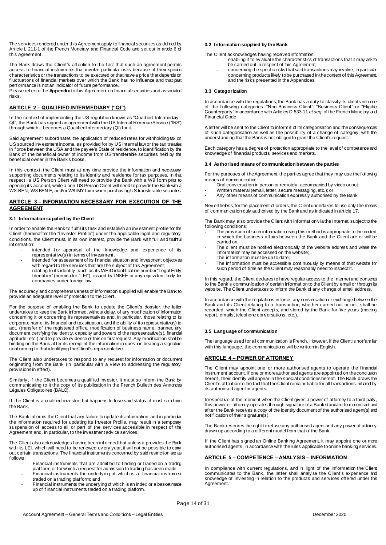The serv ices rendered under this Agreement apply to financial securities as defined by Article L.211-1 of the French Monetary and Financial Code and set out in article 6 of this Agreement.

The Bank draws the Client's attention to the f act that such an agreement permits access to financial instruments that involve particular risks because of their specific characteristics or the transactions to be executed or that have a price that depends on f luctuations of financial markets over which the Bank has no influence and that past perf ormance is not an indicator of future performance.

Please ref er to the **Appendix** to this Agreement on financial securities and associated risks.

### **ARTICLE 2 – QUALIFIED INTERMEDIARY ("QI")**

In the context of implementing the US regulation known as "Qualified Intermediary QI", the Bank has signed an agreement with the US Internal Revenue Service ("IRS") through which it becomes a Qualified Intermediary (QI) for it.

Said agreement subordinates the application of reduced rates for withholding tax on US sourced inv estment income, as provided for by US internal law or the tax treaties in f orce between the USA and the pay ee's State of residence, to identification by the Bank of the beneficial owner of income from US transferable securities held by the benef icial owner in the Bank's books.

In this context, the Client must at any time provide the information and necessary supporting documents relating to its identity and residence for tax purposes. In that respect, a US Person Client will need to provide the Bank with a W9 f orm prior to opening its account, while a non-US Person Client will need to provide the Bank with a W8-BEN, W8 BEN E, and/or W8 IMY form when purchasing US transferable securities.

#### **ARTICLE 3 – INFORMATION NECESSARY FOR EXECUTION OF THE AGREEMENT**

#### **3.1 Information supplied by the Client**

In order to enable the Bank to f ulf il its task and establish an inv estment profile for the Client (hereinaf ter the "Inv estor Profile") under the applicable legal and regulatory conditions, the Client must, in its own interest, provide the Bank with full and truthful inf ormation:

- intended for appraisal of the knowledge and experience of its representative(s) in terms of investment,
- intended f or assessment of its financial situation and investment objectives with regard to the serv ices that are the subject of this Agreement;
- relating to its identity, such as its MiFID identification number "Legal Entity Identifier" (hereinafter "LEI"), issued by INSEE or any equivalent body for companies under foreign law.

The accuracy and comprehensiveness of information supplied will enable the Bank to prov ide an adequate level of protection to the Client.

For the purpose of enabling the Bank to update the Client's dossier, the latter undertakes to keep the Bank informed, without delay, of any modification of information concerning it or concerning its representatives and, in particular, those relating to its corporate name, its financial and tax situation, and the ability of its representative(s) to act, (transfer of the registered office, modification of business name, banner, any document certifying the identity, capacity and powers of the representative(s), financial aptitude, etc.) and to provide evidence of this on first request. Any modification shall be binding on the Bank af ter its receipt of the information in question bearing a signature conf orming to that identifying the Client's representative.

The Client also undertakes to respond to any request for information or document originating from the Bank (in particular with a view to addressing the regulatory prov isions in effect).

Similarly , if the Client becomes a qualif ied investor, it must so inform the Bank by communicating to it the copy of its publication in the French Bulletin des Annonces Légales Obligatoires (BALO).

If the Client is a qualified investor, but happens to lose said status, it must so inform the Bank.

The Bank inf orms the Client that any failure to update its information, and in particular the information required for updating its Investor Profile, may result in a temporary suspension of access to all or part of the serv ices accessible in respect of the Agreement and, in particular, to the investment advice services.

The Client also acknowledges having been informed that unless it provides the Bank with its LEI, which will need to be renewed ev ery year, it will not be possible to carry out certain transactions. The financial instruments concerned by said restriction are as f ollows:

- Financial instruments that are admitted to trading or traded on a trading platf orm or for which a request for admission to trading has been made;
- Financial instruments the underly ing of which is a f inancial instrument traded on a trading platform; and
- Financial instruments the underlying of which is an index or a basket made up of f inancial instruments traded on a trading platform.

#### **3.2 Information supplied by the Bank**

The Client acknowledges having received information:

- enabling it to ev aluate the characteristics of transactions that it may ask to be carried out in respect of this Agreement;
	- concerning the specific risks that said transactions may involve, in particular concerning products likely to be purchased in the context of this Agreement, and the risks presented in the Appendices.

#### **3.3 Categorization**

In accordance with the regulations, the Bank has a duty to classify its clients into one of the f ollowing categories: "Non-Business Client", "Business Client" or "Eligible Counterparty" in accordance with Articles D.533-11 *et seq.* of the French Monetary and Financial Code.

A letter will be sent to the Client to inform it of its categorisation and the consequences of such categorisation as well as the possibility of a change of category, with the understanding that the Bank is not obliged to grant the Client's request.

Each category has a degree of protection appropriate to the level of competence and knowledge of financial products, services and markets.

#### **3.4 Authorised means of communication between the parties**

For the purposes of the Agreement, the parties agree that they may use the following means of communication:

- Oral conv ersation in person or remotely, accompanied by video or not;
- Written material (email, letter, secure messaging, etc.); or
- Any other means of communication expressly authorised by the Bank.

Nev ertheless, for the placement of orders, the Client undertakes to use only the means of communication duly authorised by the Bank and as indicated in article 17.

The Bank may also provide the Client with information v ia the Internet, subject to the f ollowing conditions:

- The prov ision of such information using this method is appropriate to the context in which the business affairs between the Bank and the Client are or will be carried on;
- The client must be notified electronically of the website address and where the inf ormation may be accessed on the website;
- The information must be up to date;
- The information must be accessible continuously by means of that website for such period of time as the Client may reasonably need to inspect it.

In this regard, the Client declares to have regular access to the Internet and consents to the Bank's communication of certain information to the Client by email or through its website. The Client undertakes to inform the Bank of any change of email address.

In accordance with the regulations in force, any conversation or exchange between the Bank and its Client relating to a transaction, whether carried out or not, shall be recorded, which the Client accepts, and stored by the Bank for five years (meeting report, emails, telephone conversations, etc.).

#### **3.5 Language of communication**

The language used for all communication is French. However, if the Client is notfamiliar with this language, the communications will be written in English.

#### **ARTICLE 4 – POWER OF ATTORNEY**

The Client may appoint one or more authorised agents to operate the f inancial instrument account. If one or more authorised agents are appointed on the conclusion hereof , their identity will appear in the special conditions hereof. The Bank draws the Client's attention to the fact that the Client remains liable for all transactions initiated by its authorised agent or agents.

Irrespective of the moment when the Client gives a power of attorney to a third party, this power of attorney operates through signature of a Bank standard form contract and af ter the Bank receives a copy of the identity document of the authorised agent(s) and notif ication of their signature(s).

The Bank reserves the right to refuse any authorised agent and any power of attorney drawn up according to a different model from that of the Bank.

If the Client has signed an Online Banking Agreement, it may appoint one or more authorised agents, in accordance with the rules applicable to online banking services.

#### **ARTICLE 5 – COMPETENCE – ANALYSIS – INFORMATION**

In compliance with current regulations, and in light of the inf ormation the Client communicates to the Bank, the latter shall analy se the Client's experience and knowledge of inv esting in relation to the products and serv ices offered under this Agreement.

Page 14 of 31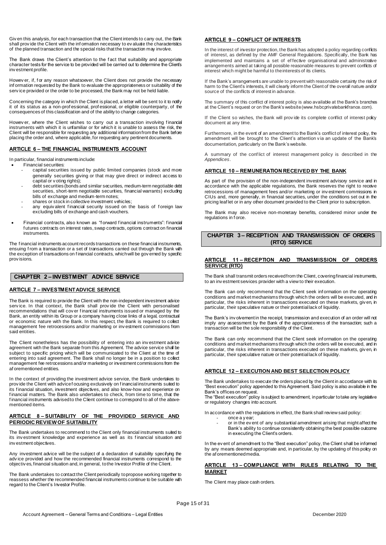Giv en this analysis, for each transaction that the Client intends to carry out, the Bank shall prov ide the Client with the inf ormation necessary to ev aluate the characteristics of the planned transaction and the special risks that the transaction may involve.

The Bank draws the Client's attention to the f act that suitability and appropriate character tests for the service to be provided will be carried out to determine the Client's inv estment profile.

Howev er, if, for any reason whatsoever, the Client does not provide the necessary inf ormation requested by the Bank to evaluate the appropriateness or suitability of the serv ice provided or the order to be processed, the Bank may not be held liable.

Concerning the category in which the Client is placed, a letter will be sent to it to notify it of its status as a non-prof essional, prof essional, or eligible counterparty, of the consequences of this classification and of the ability to change categories.

Howev er, where the Client wishes to carry out a transaction involving financial instruments with which it is unfamiliar or for which it is unable to assess the risk, the Client will be responsible for requesting any additional information from the Bank before placing the order and, where applicable, for requesting any pertinent documents.

#### **ARTICLE 6 – THE FINANCIAL INSTRUMENTS ACCOUNT**

In particular, financial instruments include:

- Financial securities:
	- capital securities issued by public limited companies (stock and more generally securities giving or that may give direct or indirect access to capital or v oting rights);
	- debt securities (bonds and similar securities, medium-term negotiable debt securities, short-term negotiable securities, financial warrants) excluding bills of exchange and medium-term notes;
	- shares or stock in collective investment vehicles;
	- any equiv alent financial security issued on the basis of foreign law excluding bills of exchange and cash vouchers.
- Financial contracts, also known as "f orward f inancial instruments": f inancial f utures contracts on interest rates, swap contracts, options contract on financial instruments.

The f inancial instruments account records transactions on these financial instruments, ensuing f rom a transaction or a set of transactions carried out through the Bank with the exception of transactions on f inancial contracts, which will be gov erned by specific prov isions.

#### **CHAPTER 2 – INVESTMENT ADVICE SERVICE**

# **ARTICLE 7 – INVESTMENT ADVICE SERVICE**

The Bank is required to provide the Client with the non-independent investment advice serv ice. In that context, the Bank shall prov ide the Client with personalised recommendations that will cov er f inancial instruments issued or managed by the Bank, an entity within its Group or a company having close links of a legal, contractual or economic nature with the Bank. In this respect, the Bank is required to collect management fee retrocessions and/or marketing or inv estment commissions from said entities.

The Client nonetheless has the possibility of entering into an inv estment advice agreement with the Bank separate from this Agreement. The advice service shall be subject to specific pricing which will be communicated to the Client at the time of entering into said agreement. The Bank shall no longer be in a position to collect management fee retrocessions and/or marketing or investment commissions from the af orementioned entities.

In the context of providing the investment advice service, the Bank undertakes to prov ide the Client with advice f ocusing exclusively on f inancial instruments suited to its f inancial situation, investment objectives, and also know-how and experience on f inancial matters. The Bank also undertakes to check, from time to time, that the f inancial instruments advised to the Client continue to correspond to all of the abovementioned items.

#### **ARTICLE 8 – SUITABILITY OF THE PROVIDED SERVICE AND PERIODIC REVIEW OF SUITABILITY**

The Bank undertakes to recommend to the Client only financial instruments suited to its investment knowledge and experience as well as its financial situation and inv estment objectives.

Any investment advice will be the subject of a declaration of suitability specifying the adv ice provided and how the recommended financial instruments correspond to the objectiv es, financial situation and, in general, to the Investor Profile of the Client.

The Bank undertakes to contact the Client periodically to propose working together to reassess whether the recommended financial instruments continue to be suitable with regard to the Client's Investor Profile.

#### **ARTICLE 9 – CONFLICT OF INTERESTS**

In the interest of investor protection, the Bank has adopted a policy regarding conflicts of interest, as defined by the AMF General Regulations. Specifically, the Bank has implemented and maintains a set of ef fective organisational and administrative arrangements aimed at taking all possible reasonable measures to prevent conflicts of interest which might be harmful to the interests of its clients.

If the Bank's arrangements are unable to prevent with reasonable certainty the risk of harm to the Client's interests, it will clearly inform the Client of the overall nature and/or source of the conflicts of interest in advance.

The summary of this conflict of interest policy is also available at the Bank's branches at the Client's request or on the Bank's website (www.hsbcprivatebankfrance.com).

If the Client so wishes, the Bank will provide its complete conflict of interest policy document at any time.

Furthermore, in the event of an amendment to the Bank's conflict of interest policy, the amendment will be brought to the Client's attention v ia an update of the Bank's documentation, particularly on the Bank's website.

A summary of the conf lict of interest management policy is described in the *Appendices*.

#### **ARTICLE 10 – REMUNERATION RECEIVED BY THE BANK**

As part of the provision of the non-independent investment advisory service and in accordance with the applicable regulations, the Bank reserves the right to receive retrocessions of management fees and/or marketing or inv estment commissions in CIUs and, more generally, in financial securities, under the conditions set out in the pricing leaf let or in any other document provided to the Client prior to subscription.

The Bank may also receive non-monetary benefits, considered minor under the regulations in force.

#### **CHAPTER 3 – RECEPTION AND TRANSMISSION OF ORDERS (RTO) SERVICE**

#### **ARTICLE 11 – RECEPTION AND TRANSMISSION OF ORDERS SERVICE (RTO)**

The Bank shall transmit orders received from the Client, covering financial instruments, to an inv estment services provider with a view to their execution.

The Bank can only recommend that the Client seek information on the operating conditions and market mechanisms through which the orders will be executed, and in particular, the risks inherent in transactions executed on these markets, giv en, in particular, their speculative nature or their potential lack of liquidity.

The Bank's inv olvement in the receipt, transmission and execution of an order will not imply any assessment by the Bank of the appropriateness of the transaction; such a transaction will be the sole responsibility of the Client.

The Bank can only recommend that the Client seek information on the operating conditions and market mechanisms through which the orders will be executed, and in particular, the risks inherent in transactions executed on these markets, giv en, in particular, their speculative nature or their potential lack of liquidity.

#### **ARTICLE 12 – EXECUTION AND BEST SELECTION POLICY**

The Bank undertakes to execute the orders placed by the Client in accordance with its "Best execution" policy appended to this Agreement. Said policy is also available in the Bank's offices on request.

The "Best execution" policy is subject to amendment, in particular to take any legislative or regulatory changes into account.

In accordance with the regulations in effect, the Bank shall review said policy: once a y ear;

or in the ev ent of any substantial amendment arising that might affect the Bank's ability to continue consistently obtaining the best possible outcome in executing the Client's orders.

In the ev ent of amendment to the "Best execution" policy, the Client shall be informed by any means deemed appropriate and, in particular, by the updating of this policy on the af orementioned media.

#### **ARTICLE 13 – COMPLIANCE WITH RULES RELATING TO THE MARKET**

The Client may place cash orders.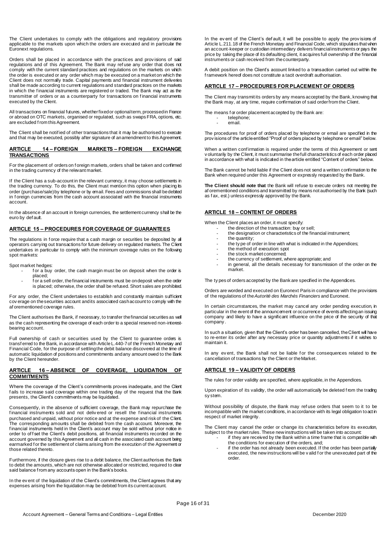The Client undertakes to comply with the obligations and regulatory provisions applicable to the markets upon which the orders are executed and in particular the Euronext regulations.

Orders shall be placed in accordance with the practices and prov isions of said regulations and of this Agreement. The Bank may ref use any order that does not comply with the current standard practices and regulations on the markets on which the order is executed or any order which may be executed on a market on which the Client does not normally trade. Capital payments and financial instrument deliveries shall be made according to current regulations and standard practices on the markets in which the f inancial instruments are registered or traded. The Bank may act as the transmitter of orders or as a counterparty for transactions on f inancial instruments executed by the Client.

All transactions on financial futures, whether fixed or optional term, processed in France or abroad on OTC markets, organised or regulated, such as swaps FRA, options, etc. are excluded f rom this Agreement.

The Client shall be notif ied of other transactions that it may be authorised to execute and that may be executed, possibly after signature of an amendment to this Agreement.

#### **ARTICLE 14 – FOREIGN MARKETS – FOREIGN EXCHANGE TRANSACTIONS**

For the placement of orders on f oreign markets, orders shall be taken and confirmed in the trading currency of the relevant market.

If the Client has a sub-account in the relevant currency, it may choose settlements in the trading currency. To do this, the Client must mention this option when placing its order (purchase/sale) by telephone or by email. Fees and commissions shall be debited in f oreign currencies from the cash account associated with the financial instruments account.

In the absence of an account in foreign currencies, the settlement currency shall be the euro by def ault.

#### **ARTICLE 15 – PROCEDURES FOR COVERAGE OF GUARANTEES**

The regulations in force require that a cash margin or securities be deposited by all operators carrying out transactions for future delivery on regulated markets. The Client undertakes in particular to comply with the minimum coverage rules on the following spot markets:

Spot market hedges:

- for a buy order, the cash margin must be on deposit when the order is placed;
- for a sell order, the financial instruments must be on deposit when the order is placed; otherwise, the order shall be refused. Short sales are prohibited.

For any order, the Client undertakes to establish and constantly maintain sufficient cov erage on the securities account and its associated cash account to comply with the af orementioned coverage rules.

The Client authorises the Bank, if necessary, to transfer the financial securities as well as the cash representing the coverage of each order to a special reserved non-interestbearing account.

Full ownership of cash or securities used by the Client to guarantee orders is transf erred to the Bank, in accordance with Article L.440-7 of the French Monetary and Financial Code, for the purpose of settling the debit balance discovered at the time of automatic liquidation of positions and commitments and any amount owed to the Bank by the Client hereunder.

#### **ARTICLE 16 – ABSENCE OF COVERAGE, LIQUIDATION OF COMMITMENTS**

Where the coverage of the Client's commitments proves inadequate, and the Client f ails to increase said coverage within one trading day of the request that the Bank presents, the Client's commitments may be liquidated.

Consequently, in the absence of sufficient coverage, the Bank may repurchase the f inancial instruments sold and not deliv ered or resell the f inancial instruments purchased and unpaid, without prior notice and at the expense and risk of the Client. The corresponding amounts shall be debited from the cash account. Moreover, the financial instruments held in the Client's account may be sold without prior notice in order to offset the Client's debit positions, all financial instruments recorded on the account governed by this Agreement and all cash in the associated cash account being earmarked f or the settlement of claims arising from the execution of the Agreement or those related thereto.

Furthermore, if the closure gives rise to a debit balance, the Client authorises the Bank to debit the amounts, which are not otherwise allocated or restricted, required to clear said balance f rom any accounts open in the Bank's books.

In the ev ent of the liquidation of the Client's commitments, the Client agrees that any expenses arising from the liquidation may be debited from its current account.

In the ev ent of the Client's default, it will be possible to apply the provisions of Article L.211.18 of the French Monetary and Financial Code, which stipulates that when an account-keeper or custodian intermediary delivers financial instruments or pays the price by taking the place of its defaulting client, it acquires full ownership of the financial instruments or cash received from the counterparty.

A debit position on the Client's account linked to a transaction carried out within the f ramework hereof does not constitute a tacit overdraft authorisation.

#### **ARTICLE 17 – PROCEDURES FOR PLACEMENT OF ORDERS**

The Client may transmit its orders by any means accepted by the Bank, knowing that the Bank may, at any time, require confirmation of said order from the Client.

The means f or order placement accepted by the Bank are: telephone; - email.

The procedures for proof of orders placed by telephone or email are specified in the prov isions of the article entitled "Proof of orders placed by telephone or email" below.

When a written confirmation is required under the terms of this Agreement or sent v oluntarily by the Client, it must summarise the full characteristics of each order placed in accordance with what is indicated in the article entitled "Content of orders" below.

The Bank cannot be held liable if the Client does not send a written confirmation to the Bank when required under this Agreement or expressly requested by the Bank.

**The Client should note that** the Bank will refuse to execute orders not meeting the af orementioned conditions and transmitted by means not authorised by the Bank (such as f ax, est.) unless expressly approved by the Bank.

#### **ARTICLE 18 – CONTENT OF ORDERS**

When the Client places an order, it must specify:

- the direction of the transaction: buy or sell; the designation or characteristics of the financial instrument;
- the quantity:
- the ty pe of order in line with what is indicated in the Appendices;
- the method of execution: spot
- the stock market concerned;
- the currency of settlement, where appropriate; and
- in general, all the details necessary for transmission of the order on the market.

The ty pes of orders accepted by the Bank are specified in the Appendices.

Orders are worded and executed on Euronext Paris in compliance with the provisions of the regulations of the *Autorité des Marchés Financiers* and Euronext.

In certain circumstances, the market may cancel any order pending execution, in particular in the event of the announcement or occurrence of events affecting an issuing company and likely to have a significant influence on the price of the security of that company .

In such a situation, given that the Client's order has been cancelled, the Client will have to re-enter its order after any necessary price or quantity adjustments if it wishes to maintain it.

In any event, the Bank shall not be liable for the consequences related to the cancellation of transactions by the Client or the Market.

#### **ARTICLE 19 – VALIDITY OF ORDERS**

The rules f or order validity are specified, where applicable, in the Appendices.

Upon expiration of its validity, the order will automatically be deleted f rom the trading sy stem.

Without possibility of dispute, the Bank may ref use orders that seem to it to be incompatible with the market conditions, in accordance with its legal obligation to act in respect of market integrity.

The Client may cancel the order or change its characteristics before its execution, subject to the market rules. These new instructions will be taken into account:

- if they are received by the Bank within a time frame that is compatible with the conditions for execution of the orders, and;
- if the order has not already been executed. If the order has been partially executed, the new instructions will be v alid f or the unexecuted part of the order.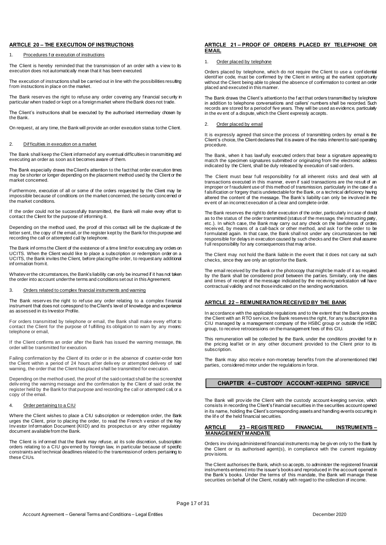#### **ARTICLE 20 – THE EXECUTION OF INSTRUCTIONS**

#### 1. Procedures f or execution of instructions

The Client is hereby reminded that the transmission of an order with a view to its execution does not automatically mean that it has been executed.

The execution of instructions shall be carried out in line with the possibilities resulting f rom instructions in place on the market.

The Bank reserves the right to refuse any order covering any financial security in particular when traded or kept on a foreign market where the Bank does not trade.

The Client's instructions shall be executed by the authorised intermediary chosen by the Bank.

On request, at any time, the Bank will provide an order execution status to the Client.

#### 2. Dif ficulties in execution on a market

The Bank shall keep the Client informed of any eventual difficulties in transmitting and executing an order as soon as it becomes aware of them.

The Bank especially draws the Client's attention to the fact that order execution times may be shorter or longer depending on the placement method used by the Client or the market concerned.

Furthermore, execution of all or some of the orders requested by the Client may be impossible because of conditions on the market concerned, the security concerned or the market conditions.

If the order could not be successfully transmitted, the Bank will make every effort to contact the Client for the purpose of informing it.

Depending on the method used, the proof of this contact will be the duplicate of the letter sent, the copy of the email, or the register kept by the Bank for this purpose and recording the call or attempted call by telephone.

The Bank inf orms the Client of the existence of a time limit for executing any orders on UCITS. When the Client would like to place a subscription or redemption order on a UCITS, the Bank invites the Client, before placing the order, to request any additional inf ormation from it.

Whatev er the circumstances, the Bank's liability can only be incurred if it has not taken the order into account under the terms and conditions set out in this Agreement.

#### 3. Orders related to complex financial instruments and warning

The Bank reserv es the right to ref use any order relating to a complex financial instrument that does not correspond to the Client's level of knowledge and experience as assessed in its Investor Profile.

For orders transmitted by telephone or email, the Bank shall make every effort to contact the Client for the purpose of fulfilling its obligation to warn by any means: telephone or email,

If the Client confirms an order after the Bank has issued the warning message, this order will be transmitted for execution.

Failing confirmation by the Client of its order or in the absence of counter-order from the Client within a period of 24 hours af ter deliv ery or attempted delivery of said warning, the order that the Client has placed shall be transmitted for execution.

Depending on the method used, the proof of the said contact shall be the screenshot deliv ering the warning message and the confirmation by the Client of said order, the register held by the Bank for that purpose and recording the call or attempted call, or a copy of the email.

#### 4. Order pertaining to a CIU

Where the Client wishes to place a CIU subscription or redemption order, the Bank urges the Client, prior to placing the order, to read the French v ersion of the Key Inv estor Inf ormation Document (KIID) and its prospectus or any other regulatory document available from the Bank.

The Client is inf ormed that the Bank may refuse, at its sole discretion, subscription orders relating to a CIU gov erned by foreign law, in particular because of specific constraints and technical deadlines related to the transmission of orders pertaining to these CIUs.

#### **ARTICLE 21 – PROOF OF ORDERS PLACED BY TELEPHONE OR EMAIL**

#### 1. Order placed by telephone

Orders placed by telephone, which do not require the Client to use a conf idential identif ier code, must be confirmed by the Client in writing at the earliest opportunity without the Client being able to plead the absence of confirmation to contest an order placed and executed in this manner.

The Bank draws the Client's attention to the f act that orders transmitted by telephone in addition to telephone conversations and callers' numbers shall be recorded. Such records are stored for a period of five years. They will be used as evidence, particularly in the ev ent of a dispute, which the Client expressly accepts.

#### 2. Order placed by email

It is expressly agreed that since the process of transmitting orders by email is the Client's choice, the Client declares that it is aware of the risks inherent to said operating procedure.

The Bank, when it has lawfully executed orders that bear a signature appearing to match the specimen signatures submitted or originating from the electronic address indicated by the Client, shall be duly released by execution of said orders.

The Client must bear full responsibility for all inherent risks and deal with all transactions executed in this manner, even if said transactions are the result of an improper or f raudulent use of this method of transmission, particularly in the case of a f alsification or forgery that is undetectable for the Bank, or a technical deficiency having altered the content of the message. The Bank's liability can only be involved in the ev ent of an incorrect execution of a clear and complete order.

The Bank reserves the right to defer execution of the order, particularly in case of doubt as to the status of the order transmitted (status of the message, the instructing party, etc.). In which case, the Bank may carry out any check on the lawfulness of orders receiv ed, by means of a call-back or other method, and ask for the order to be f ormulated again. In that case, the Bank shall not under any circumstances be held responsible for delays in execution caused by such checks and the Client shall assume f ull responsibility for any consequences that may arise.

The Client may not hold the Bank liable in the event that it does not carry out such checks, since they are only an option for the Bank.

The email received by the Bank or the photocopy that might be made of it as required by the Bank shall be considered proof between the parties. Similarly, only the dates and times of receipt of the message indicated by the receiving workstation will have contractual validity and not those indicated on the sending workstation.

#### **ARTICLE 22 – REMUNERATION RECEIVED BY THE BANK**

In accordance with the applicable regulations and to the extent that the Bank provides the Client with an RTO serv ice, the Bank reserves the right, for any subscription in a CIU managed by a management company of the HSBC group or outside the HSBC group, to receive retrocessions on the management fees of this CIU.

This remuneration will be collected by the Bank, under the conditions provided for in the pricing leaf let or in any other document provided to the Client prior to its subscription.

The Bank may also receive non-monetary benefits from the aforementioned third parties, considered minor under the regulations in force.

#### **CHAPTER 4 – CUSTODY ACCOUNT-KEEPING SERVICE**

The Bank will prov ide the Client with the custody account-keeping service, which consists in recording the Client's f inancial securities in the securities account opened in its name, holding the Client's corresponding assets and handling events occurring in the lif e of the held financial securities.

#### **ARTICLE 23 – REGISTERED FINANCIAL INSTRUMENTS – MANAGEMENT MANDATE**

Orders inv olving administered financial instruments may be giv en only to the Bank by the Client or its authorised agent(s), in compliance with the current regulatory prov isions.

The Client authorises the Bank, which so accepts, to administer the registered financial instruments entered into the issuer's books and reproduced in the account opened in the Bank's books. Under the terms of this mandate, the Bank will manage these securities on behalf of the Client, notably with regard to the collection of income.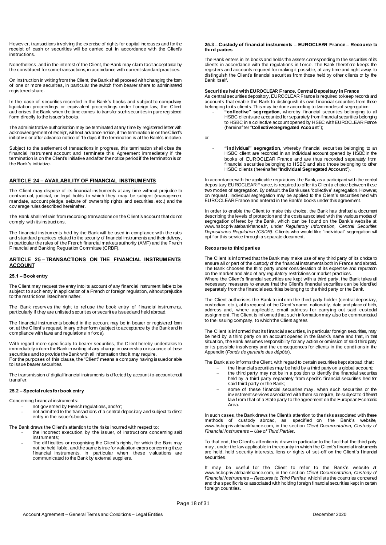Howev er, transactions involving the exercise of rights for capital increases and for the receipt of cash or securities will be carried out in accordance with the Client's instructions.

Nonetheless, and in the interest of the Client, the Bank may claim tacit acceptance by the constituent for some transactions, in accordance with current standard practices.

On instruction in writing from the Client, the Bank shall proceed with changing the form of one or more securities, in particular the switch from bearer share to administered registered share.

In the case of securities recorded in the Bank's books and subject to compulsory liquidation proceedings or equiv alent proceedings under f oreign law, the Client authorises the Bank, when the time comes, to transfer such securities in pure registered form directly to the issuer's books.

The administrative authorisation may be terminated at any time by registered letter with acknowledgement of receipt, without advance notice, if the termination is on the Client's initiativ e or after advance notice of 15 days if the termination is at the Bank's initiative.

Subject to the settlement of transactions in progress, this termination shall close the financial instrument account and terminate this Agreement immediately if the termination is on the Client's initiative and after the notice period if the termination is on the Bank's initiative.

#### **ARTICLE 24 – AVAILABILITY OF FINANCIAL INSTRUMENTS**

The Client may dispose of its financial instruments at any time without prejudice to contractual, judicial, or legal holds to which they may be subject (management mandate, account pledge, seizure of ownership rights and securities, etc.) and the cov erage rules described hereinafter.

The Bank shall ref rain from recording transactions on the Client's account that do not comply with its instructions.

The f inancial instruments held by the Bank will be used in compliance with the rules and standard practices related to the security of financial instruments and their delivery, in particular the rules of the French financial markets authority (AMF) and the French Financial and Banking Regulation Committee (CRBF).

#### **ARTICLE 25 – TRANSACTIONS ON THE FINANCIAL INSTRUMENTS ACCOUNT**

#### **25.1 – Book entry**

The Client may request the entry into its account of any financial instrument liable to be subject to such entry in application of a French or foreign regulation, without prejudice to the restrictions listed hereinafter.

The Bank reserves the right to refuse the book entry of financial instruments, particularly if they are unlisted securities or securities issued and held abroad.

The financial instruments booked in the account may be in bearer or registered form or, at the Client's request, in any other form (subject to acceptance by the Bank and in compliance with laws and regulations in f orce).

With regard more specifically to bearer securities, the Client hereby undertakes to immediately inform the Bank in writing of any change in ownership or issuance of these securities and to provide the Bank with all information that it may require.

For the purposes of this clause, the "Client" means a company having issued or able to issue bearer securities.

The transmission of digital financial instruments is effected by account-to-account credit transf er.

#### **25.2 – Special rules for book entry**

Concerning f inancial instruments:

- not gov erned by French regulations, and/or;
	- not admitted to the transactions of a central depositary and subject to direct entry in the issuer's books.

The Bank draws the Client's attention to the risks incurred with respect to:

- the incorrect execution, by the issuer, of instructions concerning said instruments;
- The difficulties or recognising the Client's rights, for which the Bank may not be held liable, and the same is true for valuation errors concerning these financial instruments, in particular when these valuations are communicated to the Bank by external suppliers.

#### **25.3 – Custody of financial instruments – EUROCLEAR France – Recourse to third parties**

The Bank enters in its books and holds the assets corresponding to the securities of its clients in accordance with the regulations in f orce. The Bank theref ore keeps the registers and accounts required for making it possible, at any time and right away, to distinguish the Client's financial securities from those held by other clients or by the Bank itself.

#### **Securities held with EUROCLEAR France, Central Depositary in France**

As central securities depository, EUROCLEAR France is required to keep records and accounts that enable the Bank to distinguish its own f inancial securities from those belonging to its clients. This may be done according to two modes of segregation:

- **"collective" segregation**, whereby financial securities belonging to all HSBC clients are accounted for separately from financial securities belonging to HSBC in a collective account opened by HSBC with EUROCLEAR France (hereinaf ter "**Collective Segregated Account**");

or

- **"individual" segregation**, whereby f inancial securities belonging to an HSBC client are recorded in an individual account opened by HSBC in the books of EUROCLEAR France and are thus recorded separately from f inancial securities belonging to HSBC and also those belonging to other HSBC clients (hereinafter "**Individual Segregated Account**").

In accordance with the applicable regulations, the Bank, as a participant with the central depositary EUROCLEAR France, is required to offer its Client a choice between these two modes of segregation. By default, the Bank uses "collective" segregation. However, on request, individual segregation may be applied to the Client's securities held with EUROCLEAR France and entered in the Bank's books under this agreement.

In order to enable the Client to make this choice, the Bank has drafted a document describing the levels of protection and the costs associated with the various modes of segregation of fered by the Bank, which can be found on the Bank's website at www.hsbcpriv atebankfrance.fr, under *Regulatory Information, Central Securities Depositories Regulation (CSDR)*. Clients who would like "individual" segregation will opt f or this service through a separate document.

#### **Recourse to third parties**

The Client is inf ormed that the Bank may make use of any third party of its choice to ensure all or part of the custody of the financial instruments both in France and abroad. The Bank chooses the third party under consideration of its expertise and reputation on the market and also of any regulatory restrictions or market practices.

Where the Client's financial securities are kept with a third party, the Bank takes all necessary measures to ensure that the Client's financial securities can be identified separately from the financial securities belonging to the third party or the Bank.

The Client authorises the Bank to inf orm the third-party holder (central depositary, custodian, etc.), at its request, of the Client's name, nationality, date and place of birth, address and, where applicable, email address for carrying out said custodial assignment. The Client is informed that such information may also be communicated to the issuing company, to which the Client agrees.

The Client is informed that its financial securities, in particular foreign securities, may be held by a third party on an account opened in the Bank's name and that, in that situation, the Bank assumes responsibility for any action or omission of said third party or its possible insolvency and the consequences for clients in the conditions in the Appendix (*Fonds de garantie des dépôts*).

The Bank also inf orms the Client, with regard to certain securities kept abroad, that:

- the financial securities may be held by a third party on a global account; the third party may not be in a position to identify the financial securities held by a third party separately from specific financial securities held for said third party or the Bank;
- some of these f inancial securities may, when such securities or the inv estment services associated with them so require, be subject to different law f rom that of a State party to the agreement on the European Economic Area.

In such cases, the Bank draws the Client's attention to the risks associated with these methods of custody abroad, as specified on the Bank's website, www.hsbcpriv atebankfrance.com, in the section *Client Documentation, Custody of Financial Instruments – Use of Third Parties*.

To that end, the Client's attention is drawn in particular to the f act that the third party may , under the law applicable in the country in which the Client's financial instruments are held, hold security interests, liens or rights of set-off on the Client's f inancial securities.

It may be useful for the Client to refer to the Bank's website at www.hsbcpriv atebankfrance.com, in the section *Client Documentation, Custody of Financial Instruments – Recourse to Third Parties*, which lists the countries concerned and the specific risks associated with holding foreign financial securities kept in certain f oreign countries.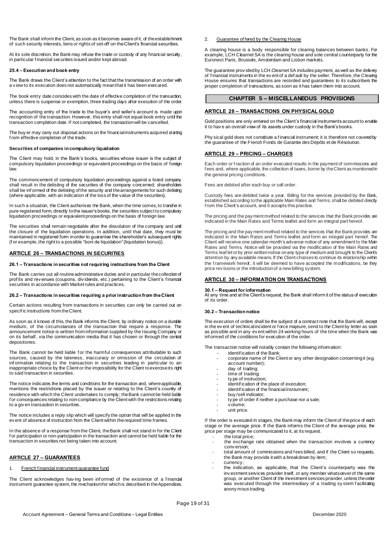The Bank shall inform the Client, as soon as it becomes aware of it, of the establishment of such security interests, liens or rights of set-off on the Client's financial securities.

At its sole discretion, the Bank may refuse the trade or custody of any financial security, in particular f inancial securities issued and/or kept abroad.

#### **25.4 – Execution and book entry**

The Bank draws the Client's attention to the fact that the transmission of an order with a v iew to its execution does not automatically mean that it has been executed.

The book entry date coincides with the date of effective completion of the transaction, unless there is suspense or exemption, three trading days after execution of the order.

The accounting entry of the trade to the buyer's and seller's account is made upon recognition of the transaction. However, this entry shall not equal book entry until the transaction completion date. If not completed, the transaction will be cancelled.

The buy er may carry out disposal actions on the financial instruments acquired starting f rom effective completion of the trade.

#### **Securities of companies in compulsory liquidation**

The Client may hold, in the Bank's books, securities whose issuer is the subject of compulsory liquidation proceedings or equivalent proceedings on the basis of foreign law.

The commencement of compulsory liquidation proceedings against a listed company shall result in the delisting of the securities of the company concerned; shareholders shall be inf ormed of the delisting of the security and the arrangements for such delisting (where applicable, with an indication of the loss of the value of the securities).

In such a situation, the Client authorises the Bank, when the time comes, to transfer in pure registered form, directly to the issuer's books, the securities subject to compulsory liquidation proceedings or equivalent proceedings on the basis of foreign law.

The securities shall remain negotiable after the dissolution of the company and until the closure of the liquidation operations. In addition, until that date, they must be maintained in registered form in order to guarantee the shareholder's subsequent rights (f or example, the right to a possible "boni de liquidation"(liquidation bonus)).

#### **ARTICLE 26 – TRANSACTIONS IN SECURITIES**

#### **26.1 – Transactions in securities not requiring instructions from the Client**

The Bank carries out all routine administrative duties and in particular the collection of prof its and rev enues (coupons, div idends, etc.) pertaining to the Client's f inancial securities in accordance with Market rules and practices.

#### **26.2 – Transactions in securities requiring a prior instruction from the Client**

Certain actions resulting from transactions in securities can only be carried out on specif ic instructions from the Client.

As soon as it knows of this, the Bank informs the Client, by ordinary notice on a durable medium, of the circumstances of the transaction that require a response. The announcement notice is written from information supplied by the Issuing Company or on its behalf , via the communication media that it has chosen or through the central depositories.

The Bank cannot be held liable for the harmful consequences attributable to such sources, caused by the lateness, inaccuracy or omission of the circulation of inf ormation relating to the transaction in securities leading in particular to an inappropriate choice by the Client or the impossibility for the Client to exercise its right to said transaction in securities.

The notice indicates the terms and conditions for the transaction and, where applicable, mentions the restrictions placed by the issuer or relating to the Client's country of residence with which the Client undertakes to comply; the Bank cannot be held liable f or consequences relating to non-compliance by the Client with the restrictions relating to a giv en transaction in securities.

The notice includes a reply slip which will specify the option that will be applied in the ev ent of absence of instruction from the Client within the required time frames

In the absence of a response from the Client, the Bank shall not stand in for the Client f or participation or non-participation in the transaction and cannot be held liable for the transaction in securities not being taken into account.

#### **ARTICLE 27 – GUARANTEES**

#### 1. French financial instrument guarantee fund

The Client acknowledges having been informed of the existence of a financial instrument guarantee system, the mechanism for which is described in the Appendices.

#### 2. Guarantee of fered by the Clearing House

A clearing house is a body responsible for clearing balances between banks. For example, LCH Clearnet SA is the clearing house and sole central counterparty for the Euronext Paris, Brussels, Amsterdam and Lisbon markets.

The guarantee prov ided by LCH.Clearnet SA includes payment, as well as the delivery of f inancial instruments in the ev ent of a def ault by the seller. Therefore, the Clearing House ensures that transactions are recorded and guarantees to its subscribers the proper completion of transactions, as soon as it has taken them into account.

#### **CHAPTER 5 – MISCELLANEOUS PROVISIONS**

#### **ARTICLE 28 – TRANSACTIONS ON PHYSICAL GOLD**

Gold positions are only entered on the Client's financial instruments account to enable it to hav e an overall view of its assets under custody in the Bank's books.

Phy sical gold does not constitute a financial instrument; it is therefore not covered by the guarantee of the French Fonds de Garantie des Dépôts et de Résolution.

#### **ARTICLE 29 – PRICING – CHARGES**

Each order or f raction of an order executed results in the payment of commissions and f ees and, where applicable, the collection of taxes, borne by the Client as mentioned in the general pricing conditions.

Fees are debited after each buy or sell order.

Custody fees are debited twice a year. Billing for the services provided by the Bank, established according to the applicable Main Rates and Terms, shall be debited directly f rom the Client's account, and it accepts this practice.

The pricing and the pay ment method related to the services that the Bank provides are indicated in the Main Rates and Terms leaflet and form an integral part hereof.

The pricing and the pay ment method related to the services that the Bank provides are indicated in the Main Rates and Terms leaflet and form an integral part hereof. The Client will receive one calendar month's advance notice of any amendment to the Main Rates and Terms. Notice will be provided via the modification of the Main Rates and Terms leaf let or by prior written notice on any type of medium and brought to the Client's attention by any available means. If the Client chooses to continue its relationship within the framework hereof, it will be deemed to have accepted the modfications, be they price rev isions or the introduction of a new billing system.

#### **ARTICLE 30 – INFORMATION ON TRANSACTIONS**

#### **30.1 – Request for information**

At any time and at the Client's request, the Bank shall inform it of the status of execution of its order.

#### **30.2 – Transaction notice**

The execution of orders shall be the subject of a contract note that the Bank will, except in the ev ent of technical incident or f orce majeure, send to the Client by letter as soon as possible and in any ev ent within 24 working hours of the time when the Bank was inf ormed of the conditions for execution of the order.

The transaction notice will notably contain the following information:

- identif ication of the Bank;
- corporate name of the Client or any other designation concerning it (e.g. account number);
- day of trading:
- time of trading;
- ty pe of instruction: - identif ication of the place of execution;
- identification of the financial instrument;
- buy/sell indicator;
- ty pe of order if neither a purchase nor a sale;
- v olume;
- unit price.

If the order is executed in stages, the Bank may inform the Client of the price of each stage or the average price. If the Bank informs the Client of the average price, the price per stage may be communicated to it, at its request. the total price:

- the exchange rate obtained when the transaction involves a currency conv ersion;
- total amount of commissions and f ees billed, and if the Client so requests, the Bank may provide it with a breakdown by item;
	- currency ;
- the indication, as applicable, that the Client's counterparty was the inv estment services provider itself, or any member whatsoever of the same group, or another Client of the investment services provider, unless the order was executed through the intermediary of a trading system facilitating anony mous trading.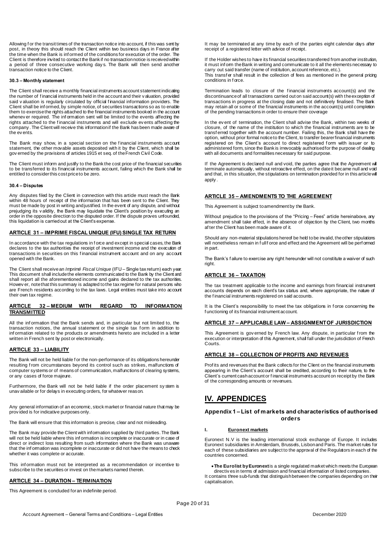Allowing f or the transit times of the transaction notice into account, if this was sent by post, in theory this should reach the Client within two business days in France after the time when the Bank is inf ormed of the conditions for execution of the order. The Client is therefore invited to contact the Bank if no transaction notice is received within a period of three consecutive working day s. The Bank will then send another transaction notice to the Client.

#### **30.3 – Monthly statement**

The Client shall receive a monthly financial instruments account statement indicating the number of f inancial instruments held in the account and their v aluation, provided said v aluation is regularly circulated by official financial information providers. The Client shall be inf ormed, by simple notice, of securities transactions so as to enable them to exercise the rights attached to the financial instruments booked in the account whenev er required. The inf ormation sent will be limited to the events affecting the rights attached to the financial instruments and will exclude events affecting the rights company . The Client will receive this information if the Bank has been made aware of the ev ents.

The Bank may show, in a special section on the financial instruments account statement, the other movable assets deposited with it by the Client, which shall be gov erned by the provisions of articles 1915 et seq. of the French Civil Code.

The Client must inform and justify to the Bank the cost price of the financial securities to be transferred to its financial instruments account, failing which the Bank shall be entitled to consider this cost price to be zero.

#### **30.4 – Disputes**

Any disputes filed by the Client in connection with this article must reach the Bank within 48 hours of receipt of the information that has been sent to the Client. They must be made by post in writing and justified. In the event of any dispute, and without prejudging its v alidity, the Bank may liquidate the Client's position by executing an order in the opposite direction to the disputed order. If the dispute proves unfounded, this liquidation is carried out at the Client's expense.

#### **ARTICLE 31 – IMPRIME FISCAL UNIQUE (IFU) SINGLE TAX RETURN**

In accordance with the tax regulations in f orce and except in special cases, the Bank declares to the tax authorities the receipt of investment income and the execution of transactions in securities on this f inancial instrument account and on any account opened with the Bank.

The Client shall receive an *Imprimé Fiscal Unique* (IFU – Single tax return) each year. This document shall include the elements communicated to the Bank by the Client and shall report all the aforementioned income and gains declared to the tax authorities. Howev er, note that this summary is adapted to the tax regime for natural persons who are French residents according to the tax laws. Legal entities must take into account their own tax regime.

#### **ARTICLE 32 – MEDIUM WITH REGARD TO INFORMATION TRANSMITTED**

All the inf ormation that the Bank sends and, in particular but not limited to, the transaction notices, the annual statement or the single tax f orm in addition to inf ormation related to the products or amendments hereto are included in a letter written in French sent by post or electronically.

#### **ARTICLE 33 – LIABILITY**

The Bank will not be held liable f or the non-performance of its obligations hereunder resulting f rom circumstances beyond its control such as strikes, malfunctions of computer systems or of means of communication, malfunctions of clearing systems, or any cases of force majeure.

Furthermore, the Bank will not be held liable if the order placement sy stem is unav ailable or for delays in executing orders, for whatever reason.

Any general information of an economic, stock market or financial nature that may be prov ided is for indicative purposes only.

The Bank will ensure that this information is precise, clear and not misleading.

The Bank may provide the Client with information supplied by third parties. The Bank will not be held liable where this inf ormation is incomplete or inaccurate or in case of direct or indirect loss resulting from such information where the Bank was unaware that the information was incomplete or inaccurate or did not have the means to check whether it was complete or accurate.

This inf ormation must not be interpreted as a recommendation or incentive to subscribe to the securities or invest on the markets named therein.

### **ARTICLE 34 - DURATION - TERMINATION**

This Agreement is concluded for an indefinite period.

It may be terminated at any time by each of the parties eight calendar days after receipt of a registered letter with advice of receipt.

If the Holder wishes to have its financial securities transferred from another institution, it must inf orm the Bank in writing and communicate to it all the elements necessary to carry out said transfer (name of institution, account reference, etc.).

This transf er shall result in the collection of fees as mentioned in the general pricing conditions in f orce.

Termination leads to closure of the f inancial instruments account(s) and the discontinuance of all transactions carried out on said account(s) with the exception of transactions in progress at the closing date and not definitively finalised. The Bank may retain all or some of the financial instruments in the account(s) until completion of the pending transactions in order to ensure their coverage

In the ev ent of termination, the Client shall advise the Bank, within two weeks of closure, of the name of the institution to which the financial instruments are to be transf erred together with the account number. Failing this, the Bank shall have the option, without prior formal notice to the Client, to transfer bearer financial instruments registered on the Client's account to direct registered form with issuer or to administered form, since the Bank is irrevocably authorised for the purpose of dealing with all documents and formalities necessary for said purpose.

If the Agreement is declared null and void, the parties agree that the Agreement will terminate automatically, without retroactive effect, on the date it became null and void and that, in this situation, the stipulations on termination provided for in this article will apply .

### **ARTICLE 35 – AMENDMENTS TO THE AGREEMENT**

This Agreement is subject to amendment by the Bank.

Without prejudice to the provisions of the "Pricing – Fees" article hereinabove, any amendment shall take effect, in the absence of objection by the Client, two months af ter the Client has been made aware of it.

Should any non-material stipulations hereof be held to be invalid, the other stipulations will nonetheless remain in full f orce and effect and the Agreement will be perf ormed in part.

The Bank's f ailure to exercise any right hereunder will not constitute a waiver of such right.

#### **ARTICLE 36 – TAXATION**

The tax treatment applicable to the income and earnings from financial instrument accounts depends on each client's tax status and, where appropriate, the nature of the f inancial instruments registered on said accounts.

It is the Client's responsibility to meet the tax obligations in force concerning the f unctioning of its financial instrument account.

#### **ARTICLE 37 – APPLICABLE LAW – ASSIGNMENT OF JURISDICTION**

This Agreement is gov erned by French law. Any dispute, in particular from the execution or interpretation of this Agreement, shall fall under the jurisdiction of French Courts.

#### **ARTICLE 38 – COLLECTION OF PROFITS AND REVENUES**

Prof its and revenues that the Bank collects for the Client on the financial instruments appearing in the Client's account shall be credited, according to their nature, to the Client's current cash account or f inancial instruments account on receipt by the Bank of the corresponding amounts or revenues.

# **IV. APPENDICES**

#### **Appendix 1 – List of markets and characteristics of authorised orders**

#### **I. Euronext markets**

Euronext N.V is the leading international stock exchange of Europe. It includes Euronext subsidiaries in Amsterdam, Brussels, Lisbon and Paris. The market rules for each of these subsidiaries are subject to the approval of the Regulators in each of the countries concerned.

**The Eurolist by Euronext** is a single regulated market which meets the European directiv es in terms of admission and financial information of listed companies. It contains three sub-funds that distinguish between the companies depending on their capitalisation.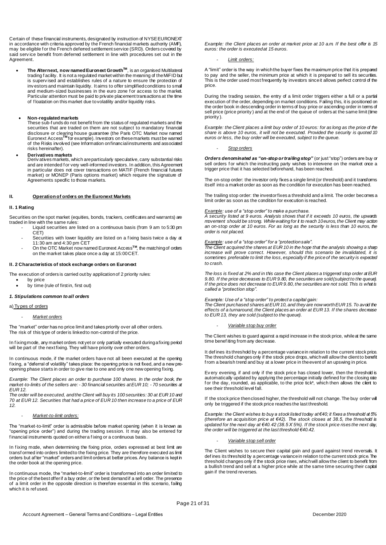Certain of these financial instruments, designated by instruction of NYSE EURONEXT in accordance with criteria approved by the French financial markets authority (AMF), may be eligible f or the French deferred settlement service (SRD). Orders covered by said serv ice benefit from deferred settlement in line with procedures set out in the Agreement.

**■ The Alternext, now named Euronext Growth<sup>™</sup>, is an organised Multilateral** trading f acility. It is not a regulated market within the meaning of the MiFID but is supervised and establishes rules of a nature to ensure the protection of inv estors and maintain liquidity. It aims to offer simplified conditions to small and medium-sized businesses in the euro zone f or access to the market. Particular attention must be paid to private placement transactions at the time of f loatation on this market due to volatility and/or liquidity risks.

#### **Non-regulated markets**

These sub-f unds do not benefit from the status of regulated markets and the securities that are traded on them are not subject to mandatory financial disclosure or clearing house guarantee (the Paris OTC Market now named Euronext Access**TM** for example). Investors on these markets must be warned of the Risks involved (see Information on financial instruments and associated risks hereinafter).

#### **Derivatives markets**

Derivatives markets, which are particularly speculative, carry substantial risks and are intended f or very well-informed investors. In addition, this Agreement in particular does not cover transactions on MATIF (French financial futures market) or MONEP (Paris options market) which require the signature of Agreements specific to those markets.

#### **II. Operation of orders on the Euronext Markets**

#### **II. 1 Rating**

Securities on the spot market (equities, bonds, trackers, certificates and warrants) are traded in line with the same rules:

- Liquid securities are listed on a continuous basis (from 9 am to 5:30 pm CET)
- Securities with lower liquidity are listed on a fixing basis twice a day at
- 11:30 am and 4:30 pm CET - On the OTC Market now named Euronext Access**TM**, the matching of orders
- on the market takes place once a day at 15:00 CET.

#### **II. 2 Characteristics of stock exchange orders on Euronext**

The execution of orders is carried out by application of 2 priority rules:

- by price
- by time (rule of first in, first out)

#### *1. Stipulations common to all orders*

#### a) Ty pes of orders

#### - *Market orders*

The "market" order has no price limit and takes priority over all other orders. The risk of this type of order is linked to non-control of the price.

In f ixing mode, any market orders not yet or only partially executed during a fixing period will be part of the next fixing. They will have priority over other orders.

In continuous mode, if the market orders have not all been executed at the opening f ixing, a "deferral of volatility" takes place: the opening price is not fixed, and a new preopening phase starts in order to give rise to one and only one new opening fixing.

*Example: The Client places an order to purchase 100 shares. In the order book, the market-to-limits of the sellers are: - 30 financial securities at EUR 10; - 70 securities at EUR 12.*

*The order will be executed, and the Client will buy its 100 securities: 30 at EUR 10 and 70 at EUR 12. Securities that had a price of EUR 10 then increase to a price of EUR 12.*

#### - *Market-to-limit orders:*

The "market-to-limit" order is admissible before market opening (when it is known as "opening price order") and during the trading session. It may also be entered for f inancial instruments quoted on either a f ixing or a continuous basis.

In fixing mode, when determining the fixing price, orders expressed at best limit are transf ormed into orders limited to the fixing price. They are therefore executed as limit orders but af ter "market" orders and limit orders at better prices. Any balance is kept in the order book at the opening price.

In continuous mode, the "market-to-limit" order is transformed into an order limited to the price of the best offer if a buy order, or the best demand if a sell order. The presence of a limit order in the opposite direction is therefore essential in this scenario, failing which it is ref used.

*Example: the Client places an order at market price at 10 a.m. If the best offer is 15 euros: the order is executed at 15 euros.*

#### - *Limit orders:*

A "limit" order is the way in which the buyer fixes the maximum price that it is prepared to pay and the seller, the minimum price at which it is prepared to sell its securities. This is the order used most frequently by investors since it allows perfect control of the price.

During the trading session, the entry of a limit order triggers either a full or a partial execution of the order, depending on market conditions. Failing this, it is positioned on the order book in descending order in terms of buy price or ascending order in terms of sell price (price priority ) and at the end of the queue of orders at the same limit (time priority ).

*Example: the Client places a limit buy order of 10 euros: for as long as the price of the share is above 10 euros, it will not be executed. Provided the security is quoted 10 euros or less, the buy order will be executed, subject to the queue.*

#### - *Stop orders*

*Orders denominated as "on-stop or trailing stop"* (or just "stop") orders are buy or sell orders for which the instructing party wishes to intervene on the market once a trigger price that it has selected beforehand, has been reached.

The on-stop order: the investor only fixes a single limit (or threshold) and it transforms itself into a market order as soon as the condition for execution has been reached.

The trailing stop order: the investor fixes a threshold and a limit. The order becomes a limit order as soon as the condition for execution is reached.

#### *Example: use of a "stop order" to make a purchase.*

*A security listed at 9 euros. Analysis shows that if it exceeds 10 euros, the upwards movement should be strong. While waiting for it to reach 10 euros, the Client may action an on-stop order at 10 euros. For as long as the security is less than 10 euros, the order is not placed.*

#### *Example: use of a "stop order" for a "protection sale".*

*The Client acquired the shares at EUR 10 in the hope that the analysis showing a sharp increase will prove correct. However, should this scenario be invalidated, it is sometimes preferable to limit the loss, especially if the price of the security is expected to crash.*

*The loss is fixed at 2% and in this case the Client places a triggered stop order at EUR 9.80. If the price decreases to EUR 9.80, the securities are sold (subject to the queue). If the price does not decrease to EUR 9.80, the securities are not sold. This is what is called a "protection stop".*

#### *Example: Use of a "stop order" to protect a capital gain:*

*The Client purchased shares at EUR 10, and they are now worth EUR 15. To avoid the effects of a turnaround, the Client places an order at EUR 13. If the shares decrease to EUR 13, they are sold (subject to the queue).*

- *Variable stop buy order*

The Client wishes to guard against a rapid increase in the stock price, while at the same time benef iting from any decrease.

It def ines its threshold by a percentage variance in relation to the current stock price. The threshold changes only if the stock price drops, which will allow the client to benefit f rom a bearish trend and buy at a lower price in the event of an upswing in price.

Ev ery evening, if and only if the stock price has closed lower, then the threshold is automatically updated by applying the percentage initially defined for the closing rate for the day, rounded, as applicable, to the price tick\*, which then allows the client to see their threshold level fall.

If the stock price then closed higher, the threshold will not change. The buy order will only be triggered if the stock price reaches the last threshold.

*Example: the Client wishes to buy a stock listed today at €40; it fixes a threshold at 5% (therefore an acquisition price at €42). The stock closes at 38.5, the threshold is updated for the next day at €40.42 (38.5 X 5%). If the stock price rises the next day, the order will be triggered at the last threshold €40.42.*

- *Variable stop sell order*

The Client wishes to secure their capital gain and guard against trend reversals. It def ines its threshold by a percentage variance in relation to the current stock price. The threshold changes only if the stock price rises, which will allow the client to benefit from a bullish trend and sell at a higher price while at the same time securing their capital gain if the trend reverses.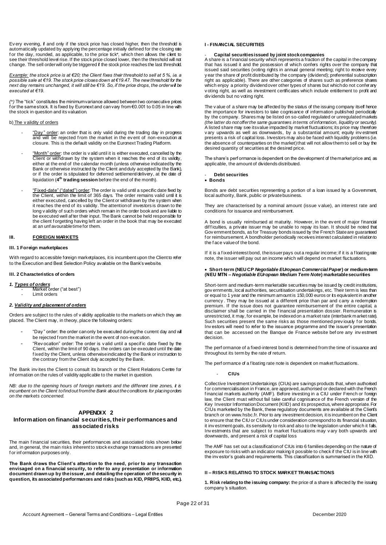Ev ery evening, if and only if the stock price has closed higher, then the threshold is automatically updated by applying the percentage initially defined for the closing rate<br>for the day rounded as applicable, to the price fick\* which then alows the client to for the day, rounded, as applicable, to the price tick\*, which then allows the client see their threshold level rise. If the stock price closed lower, then the threshold will not change. The sell order will only be triggered if the stock price reaches the last threshold.

*Example:* the stock price is at €20; the Client fixes their threshold to sell at 5 %, i.e. a <u>possible sale at €19.</u> The stock price closes down at €19.47. The new threshold for the *next day remains unchanged, it will still be €19. So, if the price drops, the order will be executed at €19.*

*(\*)* The "tick" constitutes the minimum variance allowed between two consecutive prices f or the same stock. It is fixed by Euronext and can vary from €0.001 to 0.05 in line with the stock in question and its valuation.

#### b) The v alidity of orders

- "Day" order: an order that is only valid during the trading day in progress and will be rejected from the market in the ev ent of non-execution at closure. This is the default validity on the Euronext Trading Platform.
- "Month" order: the order is v alid until it is either executed, cancelled by the Client or withdrawn by the system when it reaches the end of its validity, either at the end of the calendar month (unless otherwise indicated by the Bank or otherwise instructed by the Client and duly accepted by the Bank), or if the order is stipulated for deferred settlement/delivery, at the date of liquidation (4<sup>th</sup> trading session before the end of the month).
- "Fixed-date" ("dated") order: The order is valid until a specific date fixed by the Client, within the limit of 365 days. The order remains valid until it is either executed, cancelled by the Client or withdrawn by the system when it reaches the end of its validity. The attention of investors is drawn to the long v alidity of such orders which remain in the order book and are liable to be executed well af ter their input. The Bank cannot be held responsible for the client f orgetting having left an order in the book that may be executed at an unf avourable time for them.

#### **III. FOREIGN MARKETS**

#### **III. 1 Foreign marketplaces**

With regard to accessible foreign marketplaces, it is incumbent upon the Client to refer to the Execution and Best Selection Policy available on the Bank's website.

#### **III. 2 Characteristics of orders**

*1. Types of orders*  - Market order ("at best") Limit orders

#### *2. Validity and placement of orders*

Orders are subject to the rules of v alidity applicable to the markets on which they are placed. The Client may, in theory, place the following orders:

- "Day" order: the order can only be executed during the current day and will be rejected f rom the market in the event of non-execution.
- "Rev ocation" order: The order is v alid until a specific date fixed by the Client, within the limit of 90 days. the orders can be executed until the date f ixed by the Client, unless otherwise indicated by the Bank or instruction to the contrary from the Client duly accepted by the Bank.

The Bank inv ites the Client to consult its branch or the Client Relations Centre for inf ormation on the rules of validity applicable to the market in question.

*NB: due to the opening hours of foreign markets and the different time zones, it is incumbent on the Client to find out from the Bank about the conditions for placing orders on the markets concerned.*

#### **APPENDIX 2**

#### **Information on financial securities, their performances and associated risks**

The main f inancial securities, their performances and associated risks shown below and, in general, the main risks inherent to stock exchange transactions are presented f or inf ormation purposes only.

**The Bank draws the Client's attention to the need, prior to any transaction envisaged on a financial security, to refer to any presentation or information document drawn up by the issuer, and detailing the operation of the security in question, its associated performances and risks (such as KID, PRIIPS, KIID, etc.).**

#### **I - FINANCIAL SECURITIES**

#### - **Capital securities issued by joint stock companies**

A share is a f inancial security which represents a fraction of the capital in the company that has issued it and the possession of which confers rights over the company that issued said securities (voting rights in annual general meeting; right to receive every y ear the share of profit distributed by the company (dividend); preferential subscription right as applicable). There are other categories of shares such as preference shares which enjoy a priority dividend over other types of shares but which do not confer any v oting right, as well as investment certificates which include entitlement to profit and div idends but no voting right.

The v alue of a share may be affected by the status of the issuing company itself hence the importance for investors to take cognisance of information published periodically by the company. Shares may be listed on so-called regulated or unregulated markets *(the latter do not offer the same guarantees in terms of information, liquidity or security).* A listed share may see its value impacted by market fluctuations; its price may therefore v ary upwards as well as downwards, by a substantial amount; equity inv estment presents a risk of capital loss. Investors may also be faced with liquidity problems (i.e. the absence of counterparties on the market) that will not allow them to sell or buy the desired quantity of securities at the desired price.

The share's perf ormance is dependent on the development of the market price and, as applicable, the amount of dividends distributed.

#### - **Debt securities**

#### **Bonds**

Bonds are debt securities representing a portion of a loan issued by a Govemment, local authority, Bank, public or private business.

They are characterised by a nominal amount (issue v alue), an interest rate and conditions for issuance and reimbursement.

A bond is usually reimbursed at maturity. However, in the ev ent of major f inancial dif f iculties, a private issuer may be unable to repay its loan. It should be noted that Gov ernment bonds, as for Treasury bonds issued by the French State are guaranteed f or reimbursement. A bondholder periodically receives interest calculated in relation to the f ace value of the bond.

If it is a f ixed-interest bond, the issuer pays out a regular income; if it is a f loating rate note, the issuer will pay out an income which will depend on market fluctuations.

#### **Short-term (NEU CP** *Negotiable EUropean Commercial Paper***) or medium-term (NEU MTN –** *Negotiable EUropean Medium Term Note***) marketable securities**

Short-term and medium-term marketable securities may be issued by credit institutions, gov ernments, local authorities, securitisation undertakings, etc. Their term is less than or equal to 1 year and the minimum amount is 150,000 euros or its equivalent in another currency . They may be issued at a different price than par and carry a redemption premium. If the issue does not guarantee reimbursement of the entire capital, a disclaimer shall be carried in the f inancial presentation dossier. Remuneration is unrestricted, it may, for example, be indexed on a market rate (interbank market rate). Such securities present the same risks as those mentioned previously for bonds. Inv estors will need to refer to the issuance programme and the issuer's presentation that can be accessed on the Banque de France website bef ore any inv estment decision.

The perf ormance of a fixed-interest bond is determined from the time of issuance and throughout its term by the rate of return.

The perf ormance of a f bating rate note is dependent on market fluctuations.

- **CIUs** 

Collective Investment Undertakings (CIUs) are savings products that, when authorised for commercialisation in France, are approved, authorised or declared with the French f inancial markets authority (AMF). Before investing in a CIU under French or foreign law, the Client must without fail take careful cognisance of the French version of the Key Investor Information Document (KIID) and its prospectus, where appropriate. For CIUs marketed by the Bank, these regulatory documents are available at the Client's branch or on www.hsbc.fr. Prior to any investment decision, it is incumbent on the Client to ensure that the CIU or CIUs under consideration correspond to its financial situation, it inv estment goals, its sensitivity to risk and also to the legislation under which it falls. Investments that are subject to market fluctuations may vary both upwards and downwards, and present a risk of capital loss

The AMF has set out a classification of CIUs into 6 families depending on the nature of exposure to risks with an indicator making it possible to check if the CIU is in line with the inv estor's goals and requirements. This classification is summarised in the KIID.

#### **II – RISKS RELATING TO STOCK MARKET TRANSACTIONS**

**1. Risk relating to the issuing company:** the price of a share is affected by the issuing company 's situation.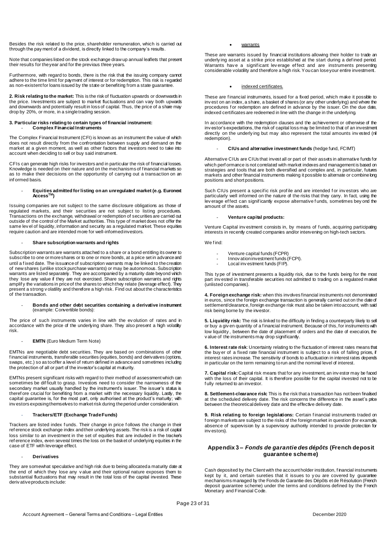Besides the risk related to the price, shareholder remuneration, which is carried out through the pay ment of a dividend, is directly linked to the company's results.

Note that companies listed on the stock exchange draw up annual leaflets that present their results for the year and for the previous three years.

Furthermore, with regard to bonds, there is the risk that the issuing company cannot adhere to the time limit for payment of interest or for redemption. This risk is regarded as non-existent for loans issued by the state or benefiting from a state guarantee.

**2. Risk relating to the market:** This is the risk of fluctuation upwards or downwards in the price. Investments are subject to market fluctuations and can vary both upwards and downwards and potentially result in loss of capital. Thus, the price of a share may drop by 20%, or more, in a single trading session.

#### **3. Particular risks relating to certain types of financial instrument:** - **Complex Financial Instruments**

The Complex Financial Instrument (CFI) is known as an instrument the value of which does not result directly from the confrontation between supply and demand on the market at a given moment, as well as other factors that investors need to take into account when deciding to sell or buy said instrument.

CFIs can generate high risks for investors and in particular the risk of financial losses. Knowledge is needed on their nature and on the mechanisms of f inancial markets so as to make their decisions on the opportunity of carrying out a transaction on an inf ormed basis.

# - **Equities admitted for listing on an unregulated market (e.g. Euronext AccessTM)**

Issuing companies are not subject to the same disclosure obligations as those of regulated markets, and their securities are not subject to listing procedures. Transactions on the exchange, withdrawal or redemption of securities are carried out outside of the control of the Market authorities. This type of market does not offer the same lev el of liquidity, information and security as a regulated market. These equities require caution and are intended more for well-informed investors.

#### - **Share subscription warrants and rights**

Subscription warrants are warrants attached to a share or a bond entitling its owner to subscribe to one or more shares or to one or more bonds, at a price set in advance and until a f ixed date. The issuance of subscription warrants may be linked to the creation of new shares (unlike stock purchase warrants) or may be autonomous. Subscription warrants are listed separately. They are accompanied by a maturity date beyond which they lose any value if they are not exercised. Share subscription warrants and rights amplif y the variations in price of the shares to which they relate (leverage effect). They present a strong v olatility and therefore a high risk. Find out about the characteristics of the transaction.

#### - **Bonds and other debt securities containing a derivative instrument**  (example: Convertible bonds):

The price of such instruments varies in line with the ev olution of rates and in accordance with the price of the underlying share. They also present a high volatility risk.

#### **EMTN** (Euro Medium Term Note)

EMTNs are negotiable debt securities. They are based on combinations of other f inancial instruments, transferable securities (equities, bonds) and derivatives (options, swaps, etc.) so as to offer a level of return defined in advance and sometimes including the protection of all or part of the investor's capital at maturity.

EMTNs present significant risks with regard to their method of assessment which can sometimes be difficult to grasp. Investors need to consider the narrowness of the secondary market usually handled by the instrument's issuer. The issuer's status is theref ore crucial for benefiting from a market with the necessary liquidity. Lastly, the capital guarantee is, for the most part, only authorised at the product's maturity; with inv estors exposing themselves to market risk during the period under consideration.

#### - **Trackers/ETF (Exchange Trade Funds)**

Trackers are listed index f unds. Their change in price f ollows the change in their ref erence stock exchange index and their underlying assets. The risk is a risk of capital loss similar to an investment in the set of equities that are included in the tracker's ref erence index, even several times the loss on the basket of underlying equities in the case of ETF with leverage effect.

#### - **Derivatives**

They are somewhat speculative and high risk due to being allocated a maturity date at the end of which they lose any v alue and their optional nature exposes them to substantial fluctuations that may result in the total loss of the capital invested. These deriv ative products include:

warrants

These are warrants issued by financial institutions allowing their holder to trade an underly ing asset at a strike price established at the start during a def ined period. Warrants have a significant leverage effect and are instruments presenting considerable volatility and therefore a high risk. You can lose your entire investment.

#### indexed certificates.

These are financial instruments, issued for a fixed period, which make it possible to inv est on an index, a share, a basket of shares (or any other underlying) and where the procedures for redemption are defined in advance by the issuer. On the due date, indexed certificates are redeemed in line with the change in the underlying.

In accordance with the redemption clauses and the achievement or otherwise of the inv estor's expectations, the risk of capital loss may be limited to that of an investment directly on the underly ing but may also represent the total amounts inv ested (nil redemption).

#### - **CIUs and alternative investment funds** (hedge fund, FCIMT)

Alternative CIUs are CIUs that invest all or part of their assets in alternative funds for which perf ormance is not correlated with market indexes and management is based on strategies and tools that are both diversified and complex and, in particular, futures markets and other financial instruments making it possible to alternate or combine long positions and short positions.

Such CIUs present a specific risk profile and are intended for investors who are particularly well informed on the nature of the risks that they carry. In fact, using the lev erage ef fect can signif icantly expose alternative f unds, sometimes bey ond the amount of the assets.

#### - **Venture capital products:**

Venture Capital inv estment consists in, by means of f unds, acquiring participating interests in recently created companies and/or intervening on high-tech sectors.

#### We f ind:

- Venture capital funds (FCPR) Innov ation investment funds (FCPI).
- 
- Local inv estment funds (FIP).

This ty pe of investment presents a liquidity risk, due to the funds being for the most part inv ested in transferable securities not admitted to trading on a regulated market (unlisted companies).

4. Foreign exchange risk: when this involves financial instruments not denominated in euros, since the foreign exchange transaction is generally carried out on the date of settlement/clearance, foreign exchange risk must also be taken into account, with said risk being borne by the investor.

**5. Liquidity risk:** The risk is linked to the difficulty in finding a counterparty likely to sell or buy a giv en quantity of a f inancial instrument. Because of this, for instruments with low liquidity , between the date of placement of orders and the date of execution, the v alue of the instruments may drop significantly.

**6. Interest rate risk**: Uncertainty relating to the fluctuation of interest rates means that the buy er of a fixed rate financial instrument is subject to a risk of falling prices, if interest rates increase. The sensitivity of bonds to a fluctuation in interest rates depends in particular on the term remaining to run and the nominal level of interest.

**7. Capital risk:**Capital risk means that for any investment, an inv estor may be faced with the loss of their capital. It is therefore possible for the capital invested not to be f ully returned to an investor.

**8. Settlement-clearance risk:** This is the risk that a transaction has not been finalised at the scheduled delivery date. The risk concerns the difference in the asset's price between the theoretical delivery date and the effective delivery date.

**9. Risk relating to foreign legislations:** Certain f inancial instruments traded on f oreign markets are subject to the risks of the foreign market in question (for example, absence of supervision by a supervisory authority intended to provide protection for inv estors).

#### **Appendix 3 –** *Fonds de garantie des dépôts* **(French deposit guarantee scheme)**

Cash deposited by the Client with the account holder institution, f inancial instruments kept by it, and certain sureties that it issues to y ou are covered by guarantee mechanisms managed by the Fonds de Garantie des Dépôts et de Résolution (French deposit guarantee scheme) under the terms and conditions defined by the French Monetary and Financial Code.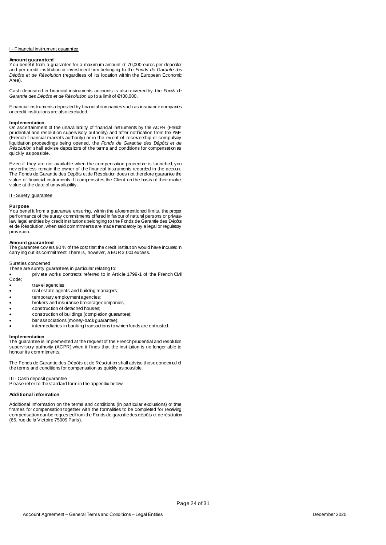#### I - Financial instrument guarantee

#### **Amount guaranteed**

You benef it from a guarantee for a maximum amount of 70,000 euros per depositor and per credit institution or investment firm belonging to the *Fonds de Garantie des Dépôts et de Résolution* (regardless of its location within the European Economic Area).

Cash deposited in f inancial instruments accounts is also covered by the *Fonds de Garantie des Dépôts et de Résolution* up to a limit of €100,000.

Financial instruments deposited by financial companies such as insurance companies or credit institutions are also excluded.

#### **Implementation**

On ascertainment of the unavailability of financial instruments by the ACPR (French prudential and resolution supervisory authority) and after notification from the AMF (French f inancial markets authority) or in the ev ent of receivership or compulsory liquidation proceedings being opened, the *Fonds de Garantie des Dépôts et de Résolution* shall advise depositors of the terms and conditions for compensation as quickly as possible.

Ev en if they are not available when the compensation procedure is launched, you nev ertheless remain the owner of the financial instruments recorded in the account. The Fonds de Garantie des Dépôts et de Résolution does not therefore guarantee the v alue of financial instruments: It compensates the Client on the basis of their market v alue at the date of unavailability.

#### II - Surety guarantee

#### **Purpose**

You benef it from a guarantee ensuring, within the aforementioned limits, the proper perf ormance of the surety commitments offered in favour of natural persons or privatelaw legal entities by credit institutions belonging to the Fonds de Garantie des Dépôts et de Résolution, when said commitments are made mandatory by a legal or regulatory prov ision.

**Amount guaranteed**<br>The guarantee cov ers 90 % of the cost that the credit institution would have incurred in . carry ing out its commitment. There is, however, a EUR 3,000 excess.

#### Sureties concerned

These are surety guarantees in particular relating to:

priv ate works contracts referred to in Article 1799-1 of the French Civil Code;

- trav el agencies;
- real estate agents and building managers;
- temporary employment agencies;
- brokers and insurance brokerage companies;
- construction of detached houses;
- construction of buildings (completion guarantee);
- bar associations (money-back guarantee);
- intermediaries in banking transactions to which funds are entrusted.

**Implementation** The guarantee is implemented at the request of the French prudential and resolution superv isory authority (ACPR) when it finds that the institution is no longer able to honour its commitments.

The Fonds de Garantie des Dépôts et de Résolution shall advise those concerned of the terms and conditions for compensation as quickly as possible.

#### III - Cash deposit guarantee

Please ref er to the standard form in the appendix below.

#### **Additional information**

Additional inf ormation on the terms and conditions (in particular exclusions) or time f rames for compensation together with the formalities to be completed for receiving compensation can be requested from the Fonds de garantie des dépôts et de résolution (65, rue de la Victoire 75009 Paris).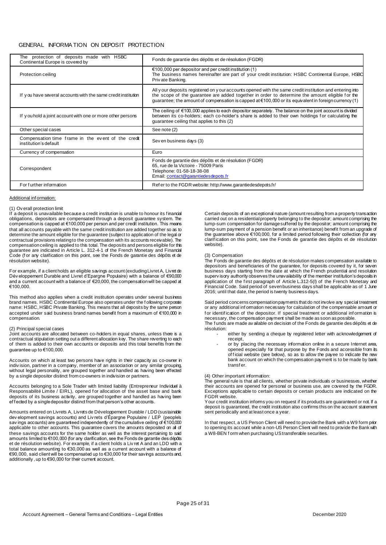#### GENERAL INFORMA TION ON DEPOSIT PROTECTION

| protection of deposits made with HSBC<br>The<br>Continental Europe is covered by | Fonds de garantie des dépôts et de résolution (FGDR)                                                                                                                                                                                                                                                                      |
|----------------------------------------------------------------------------------|---------------------------------------------------------------------------------------------------------------------------------------------------------------------------------------------------------------------------------------------------------------------------------------------------------------------------|
| <b>Protection ceiling</b>                                                        | $\epsilon$ 100,000 per depositor and per credit institution (1)<br>The business names hereinafter are part of your credit institution: HSBC Continental Europe, HSBC<br>Private Banking.                                                                                                                                  |
| If you have several accounts with the same credit institution                    | All y our deposits registered on y our accounts opened with the same credit institution and entering into<br>the scope of the guarantee are added together in order to determine the amount eligible for the<br>guarantee; the amount of compensation is capped at $(100, 000)$ or its equivalent in foreign currency (1) |
| If you hold a joint account with one or more other persons                       | The ceiling of $\epsilon$ 100,000 applies to each depositor separately. The balance on the joint account is divided<br>between its co-holders; each co-holder's share is added to their own holdings for calculating the<br>quarantee ceiling that applies to this (2)                                                    |
| Other special cases                                                              | See note (2)                                                                                                                                                                                                                                                                                                              |
| Compensation time frame in the event of the credit<br>institution's default      | Seven business days (3)                                                                                                                                                                                                                                                                                                   |
| Currency of compensation                                                         | Euro                                                                                                                                                                                                                                                                                                                      |
| Correspondent                                                                    | Fonds de garantie des dépôts et de résolution (FGDR)<br>65, rue de la Victoire - 75009 Paris<br>Telephone: 01-58-18-38-08<br>Email: contact@garantiedesdepots.fr                                                                                                                                                          |
| For further information                                                          | Refer to the FGDR website: http://www.garantiedesdepots.fr/                                                                                                                                                                                                                                                               |

#### Additional inf ormation:

#### (1) Ov erall protection limit

If a deposit is unavailable because a credit institution is unable to honour its f inancial obligations, depositors are compensated through a deposit guarantee system. The compensation is capped at €100,000 per person and per credit institution. This means that all accounts payable with the same credit institution are added together so as to determine the amount eligible for the guarantee (subject to application of the legal or contractual provisions relating to the compensation with its accounts receivable). The compensation ceiling is applied to this total. The deposits and persons eligible for this guarantee are indicated in Article L. 312-4-1 of the French Monetary and Financial Code (f or any clarification on this point, see the Fonds de garantie des dépôts et de résolution website).

For example, if a client holds an eligible savings account (excluding Livret A, Livret de Dév eloppement Durable and Livret d'Epargne Populaire) with a balance of €90,000 and a current account with a balance of  $\epsilon$ 20,000, the compensation will be capped at €100,000.

This method also applies when a credit institution operates under several business brand names. HSBC Continental Europe also operates under the f ollowing corporate name: HSBC, HSBC Private Banking. This means that all deposits by the same person accepted under said business brand names benefit from a maximum of €100,000 in compensation.

#### (2) Principal special cases

Joint accounts are allocated between co-holders in equal shares, unless there is a contractual stipulation setting out a different allocation key. The share reverting to each of them is added to their own accounts or deposits and this total benefits from the guarantee up to €100,000.

Accounts on which at least two persons have rights in their capacity as co-owner in indiv ision, partner in a company, member of an association or any similar grouping, without legal personality, are grouped together and handled as having been effected by a single depositor distinct from co-owners in indivision or partners.

Accounts belonging to a Sole Trader with limited liability (Entrepreneur Individuel à Responsabilité Limite / EIRL), opened for allocation of the asset base and bank deposits of its business activity, are grouped together and handled as having been ef f ected by a single depositor distinct from that person's other accounts.

Amounts entered on Livrets A, Livrets de Développement Durable / LDD (sustainable dev elopment savings accounts) and Liv rets d'Épargne Populaire / LEP (people's sav ings accounts) are guaranteed independently of the cumulative ceiling of €100,000 applicable to other accounts. This guarantee covers the amounts deposited on all of these savings accounts for the same holder as well as the interest pertaining to said amounts limited to €100,000 (for any clarification, see the Fonds de garantie des dépôts et de résolution website). For example, if a client holds a Liv ret A and an LDD with a total balance amounting to €30,000 as well as a current account with a balance of €90,000, said client will be compensated up to €30,000 for their savings accounts and, additionally , up to €90,000 for their current account.

Certain deposits of an exceptional nature (amount resulting from a property transaction carried out on a residential property belonging to the depositor; amount comprising the lump-sum compensation for damage suffered by the depositor; amount comprising the lump-sum payment of a pension benefit or an inheritance) benefit from an upgrade of the guarantee above €100,000, for a limited period following their collection (for any clarif ication on this point, see the Fonds de garantie des dépôts et de résolution website).

#### (3) Compensation

The Fonds de garantie des dépôts et de résolution makes compensation available to depositors and beneficiaries of the guarantee, for deposits covered by it, for seven business days starting from the date at which the French prudential and resolution superv isory authority observes the unavailability of the member institution's deposits in application of the f irst paragraph of Article L.312-5(I) of the French Monetary and Financial Code. Said period of seven business days shall be applicable as of 1 June 2016; until that date, the period is twenty business days.

Said period concerns compensation payments that do not involve any special treatment or any additional inf ormation necessary for calculation of the compensable amount or for identification of the depositor. If special treatment or additional information is necessary, the compensation payment shall be made as soon as possible. The f unds are made av ailable on decision of the Fonds de garantie des dépôts et de résolution:

- either by sending a cheque by registered letter with acknowledgement of receipt,
- or by placing the necessary information online in a secure Internet area, opened especially for that purpose by the Fonds and accessible from its of f icial website (see below), so as to allow the payee to indicate the new bank account on which the compensation payment is to be made by bank transf er.

#### (4) Other important information:

The general rule is that all clients, whether private individuals or businesses, whether their accounts are opened for personal or business use, are covered by the FGDR. Exceptions applicable to certain deposits or certain products are indicated on the FGDR website.

Your credit institution informs you on request if its products are guaranteed or not. If a deposit is guaranteed, the credit institution also confirms this on the account statement sent periodically and at least once a year.

In that respect, a US Person Client will need to provide the Bank with a W9 form prior to opening its account while a non-US Person Client will need to provide the Bank with a W8-BEN f orm when purchasing US transferable securities.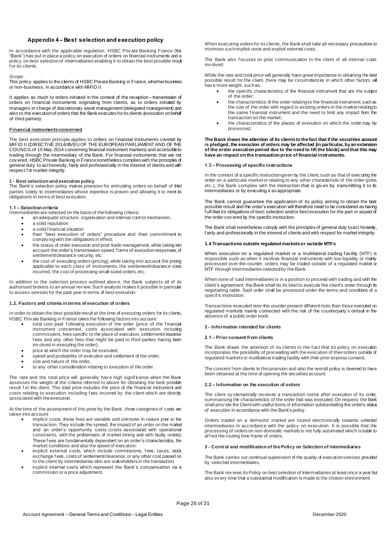#### **Appendix 4 – Best selection and execution policy**

In accordance with the applicable regulation, HSBC Priv ate Banking France (the "Bank") has put in place a policy on execution of orders on financial instruments and a policy on best selection of intermediaries enabling it to obtain the best possible result f or its clients.

#### Scope:

This policy applies to the clients of HSBC Private Banking in France, whether business or non-business, in accordance with MIFID II.

It applies as much to orders initiated in the context of the reception-transmission of orders on financial instruments originating from clients, as to orders initiated by managers in charge of discretionary asset management (delegated management) and also to the execution of orders that the Bank executes for its clients (execution on behalf of third parties).

#### **Financial instruments concerned**

The best execution principle applies to orders on f inancial instruments covered by MIFID II (DIRECTIVE 2014/65/EU OF THE EUROPEAN PARLIAMENT AND OF THE COUNCIL of 15 May 2014 concerning financial instrument markets) and accessible to trading through the intermediary of the Bank. For financial instruments that are not cov ered, HSBC Private Banking in France nonetheless complies with the principles of general duty to act honestly, fairly and professionally in the interest of clients and with respect f or market integrity.

**1 - Best selection and execution policy** The Bank's selection policy makes provision for entrusting orders on behalf of third parties solely to intermediaries whose expertise is proven and allowing it to meet its obligations in terms of best execution.

#### **1.1 – Selection criteria**

Intermediaries are selected on the basis of the following criteria:

- an adequate structure, organisation and internal control mechanism,
- a solid reputation a solid f inancial situation
- their "best execution of orders" procedure and their commitment to comply ing with the obligations in effect,
- the status of order execution and post-trade management, while taking into account the order's transmission speed, f orms of execution responses, of settlement/clearance security, etc.
- the cost of executing orders (pricing), while taking into account the pricing applicable to each class of instruments, the settlement/clearance costs incurred, the cost of processing small-sized orders, etc.

In addition to the selection process outlined above, the Bank subjects all of its authorised brokers to an annual rev iew. Such analysis makes it possible in particular to assess services for the past year in terms of best execution.

#### **1.2. Factors and criteria in terms of execution of orders**

In order to obtain the best possible result at the time of executing orders for its clients, HSBC Priv ate Banking in France takes the following factors into account:

- total cost paid following execution of the order (price of the financial instrument concerned, costs associated with execution including commissions, fees specific to the place of execution, settlement/clearance f ees and any other fees that might be paid to third parties having been inv olved in executing the order),
- price at which the order may be executed,
- speed and probability of execution and settlement of the order,
- size and nature of the order, or any other consideration relating to execution of the order.

The rate and the total price will generally have high significance when the Bank

assesses the weight of the criteria referred to above for obtaining the best possible result for the client. This total price includes the price of the financial instrument and costs relating to execution, including f ees incurred by the client which are directly associated with the execution.

At the time of the assessment of this price by the Bank, three categories of costs are taken into account:

- implicit costs: these fees are variable and unknown in nature prior to the transaction. They include the spread, the impact of an order on the market and an order's opportunity costs (costs associated with operational constraints, with the problematic of market timing and with faulty orders). These f ees are fundamentally dependent on an order's characteristics, the market conditions and also the speed of execution;
- explicit external costs, which include commissions, fees, taxes, stock exchange f ees, costs of settlement/clearance, or any other cost passed on to the client by intermediaries who are stakeholders in the transaction;
- explicit internal costs which represent the Bank's compensation via a commission or a price adjustment.

When executing orders for its clients, the Bank shall take all necessary precautions to minimise such implicit costs and explicit external costs.

The Bank also focuses on prior communication to the client of all internal costs inv olved.

While the rate and total price will generally have great importance in obtaining the best possible result for the client, there may be circumstances in which other factors will hav e more weight, such as:

- the specific characteristics of the financial instrument that are the subject of the order;
- the characteristics of the order relating to the financial instrument, such as the size of the order with regard to existing orders in the market relating to the same f inancial instrument and the need to limit any impact from the transaction on the market;
- the characteristics of the places of execution on which the order may be processed.

#### **The Bank draws the attention of its clients to the fact that if the securities account is pledged, the execution of orders may be affected (in particular, by an extension of the order execution period due to the need to lift the block) and that this may have an impact on the transaction price of financial instruments.**

#### **1.3 – Processing of specific instructions**

In the context of a specific instruction given by the client, such as that of executing the order on a particular market or relating to any other characteristic of the order (price, etc.), the Bank complies with the instruction that is given by transmitting it to its intermediaries or by executing it as appropriate.

The Bank cannot guarantee the application of its policy aiming to obtain the best possible result and the order's execution will therefore need to be considered as having f ulf illed its obligations of best selection and/or best execution for the part or aspect of the order cov ered by the specific instruction.

The Bank shall nonetheless comply with the principles of general duty to act honestly, f airly and professionally in the interest of clients and with respect for market integrity.

#### **1.4 Transactions outside regulated markets or outside MTFs**

When execution on a regulated market or a multilateral trading facility (MTF) is impossible such as when it involves financial instruments with low liquidity or mainly processed over-the-counter, orders may be traded outside of a regulated market or MTF through intermediaries selected by the Bank.

When none of said intermediaries is in a position to proceed with trading and with the client's agreement, the Bank shall do its best to execute the client's order through its negotiating table. Said order shall be processed under the terms and conditions of a specif ic instruction.

Transactions executed over-the-counter present different risks than those executed on regulated markets mainly connected with the risk of the counterparty's default in the absence of a public order book.

#### **2 - Information intended for clients**

#### **2.1 – Prior consent from clients**

The Bank draws the attention of its clients to the f act that its policy on execution incorporates the possibility of proceeding with the execution of their orders outside of regulated markets or multilateral trading facility with their prior express consent.

The consent from clients to this provision and also the overall policy is deemed to have been obtained at the time of opening the securities account.

#### **2.2 – Information on the execution of orders**

The client sy stematically receives a transaction notice after execution of its order, summarising the characteristics of the order that was executed. On request, the Bank shall prov ide the Client with useful items of information substantiating the order's status of execution in accordance with the Bank's policy.

Orders traded on a domestic market are routed electronically towards selected intermediaries in accordance with the policy on execution. It is possible that the processing of orders on non-domestic markets is not fully automated which is liable to af f ect the routing time frame of orders.

#### **3 - Control and modification of the Policy on Selection of Intermediaries**

The Bank carries out continual supervision of the quality of execution services provided by selected intermediaries.

The Bank rev iews its Policy on best selection of Intermediaries at least once a year but also ev ery time that a substantial modification is made to the chosen environment.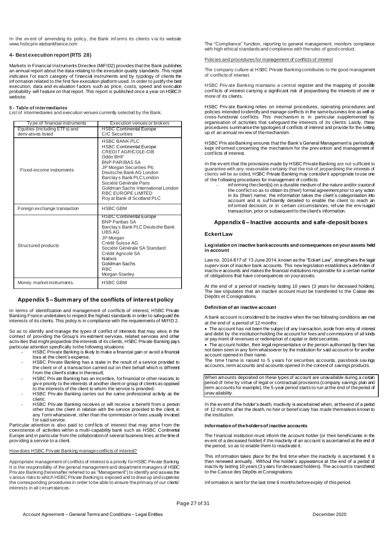In the ev ent of amending its policy, the Bank informs its clients via its website [www.hsbcpriv atebankfrance.com](http://www.privatebank.hsbc.fr/)

#### **4- Best execution report (RTS 28)**

Markets in Financial Instruments Directive (MiFID2) provides that the Bank publishes an annual report about the data relating to the execution quality standards. This report indicates for each category of financial instruments and by typology of clients the inf ormation related to the first five execution platform used. In order to justify the best execution, data and ev aluation f actors such as price, costs, speed and execution probability will f eature on that report. This report is published once a year on HSBC.fr website.

#### **5 - Table of intermediaries**

List of intermediaries and execution venues currently selected by the Bank.

| Ty pe of financial instruments                      | Execution venues or brokers                                                                                                                                                                                                                                                                                                 |
|-----------------------------------------------------|-----------------------------------------------------------------------------------------------------------------------------------------------------------------------------------------------------------------------------------------------------------------------------------------------------------------------------|
| Equities (including ETFs) and<br>derivatives listed | <b>HSBC Continental Europe</b><br>CIC Securities                                                                                                                                                                                                                                                                            |
| Fixed-income instruments                            | <b>HSBC BANK PLC</b><br><b>HSBC Continental Europe</b><br>CREDIT AGRICOLE-CIB<br>Oddo BHF<br><b>BNP PARIBAS SA</b><br>JP Morgan Securities Plc<br>Deutsche Bank AG London<br>Barclay s Bank PLC London<br>Société Générale Paris<br>Goldman Sachs International London<br>RBC EUROPE LIMITED<br>Roy al Bank of Scotland PLC |
| Foreign exchange transaction                        | <b>HSBC GBM</b>                                                                                                                                                                                                                                                                                                             |
| Structured products                                 | <b>HSBC Continental Europe</b><br><b>BNP Paribas SA</b><br>Barclay s Bank PLC Deutsche Bank<br>UBS AG<br><b>JP</b> Morgan<br>Crédit Suisse AG<br>Société Générale SA Standard<br>Crédit Agricole SA<br><b>Natixis</b><br>Goldman Sachs<br>R <sub>BC</sub><br>Morgan Stanley                                                 |
| Money market instruments.                           | <b>HSBC GBM</b>                                                                                                                                                                                                                                                                                                             |

#### **Appendix 5 – Summary of the conflicts of interest policy**

In terms of identification and management of conflicts of interest, HSBC Private Banking France undertakes to respect the highest standards in order to safeguard the interests of its clients. This policy is in compliance with the requirements of MIFID 2.

So as to identify and manage the types of conflict of interests that may arise, in the context of providing the Group's inv estment services, related services and other activ ities that might jeopardise the interests of its clients, HSBC Private Banking pays particular attention specifically to the following situations:

- HSBC Private Banking is likely to make a financial gain or avoid a financial loss at the client's expense;
- HSBC Private Banking has a stake in the result of a service provided to the client or of a transaction carried out on their behalf which is different from the client's stake in the result;
- HSBC Priv ate Banking has an incentive, for financial or other reasons, to giv e priority to the interests of another client or group of clients as opposed to the interests of the client to whom the service is provided;
- HSBC Priv ate Banking carries out the same professional activity as the client;
- HSBC Priv ate Banking receives or will receive a benefit from a person other than the client in relation with the service provided to the client, in any f orm whatsoever, other than the commission or fees usually invoiced f or said service.

Particular attention is also paid to conflicts of interest that may arise from the coexistence of activities within a multi-capability bank such as HSBC Continental Europe and in particular from the collaboration of several business lines at the time of prov iding a service to a client.

#### How does HSBC Private Banking manage conflicts of interest?

Appropriate management of conflicts of interest is a priority for HSBC Private Banking. It is the responsibility of the general management and department managers of HSBC Priv ate Banking (hereinafter referred to as "Management") to identify and assess the v arious risks to which HSBC Private Banking is exposed and to draw up and supervise the corresponding procedures in order to be able to ensure the primacy of our clients' interests in all circumstances.

The "Compliance" function, reporting to general management, monitors compliance with high ethical standards and compliance with the rules of good conduct.

Policies and procedures for management of conflicts of interest

The company culture at HSBC Private Banking contributes to the good management of conflicts of interest.

HSBC Priv ate Banking maintains a central register and the mapping of possible conf licts of interest carrying a significant risk of jeopardising the interests of one or more of its clients.

HSBC Priv ate Banking relies on internal procedures, operating procedures and policies intended to identify and manage conflicts in the same business line as well as cross-functional conf licts. This mechanism is in particular supplemented by organisation of activities that safeguard the interests of its clients. Lastly, these procedures summarise the typologies of conflicts of interest and provide for the setting up of an annual rev iew of the mechanism.

HSBC Priv ate Banking ensures that the Bank's General Management is periodically kept inf ormed concerning the mechanism for the prev ention and management of conf licts of interest.

In the ev ent that the provisions made by HSBC Private Banking are not sufficient to guarantee with any reasonable certainty that the risk of jeopardising the interests of clients will be av oided, HSBC Private Banking may consider it appropriate to use one of the f ollowing procedures for management of conflicts:

inf orming the client(s) on a durable medium of the nature and/or source of the conf lict so as to obtain its (their) formal agreement prior to any action in its (their) name; the information takes the client's categorisation into account and is suf ficiently detailed to enable the client to reach an inf ormed decision; or in certain circumstances, ref use the env isaged transaction, prior or subsequent to the client's information.

#### **Appendix 6 – Inactive accounts and safe-deposit boxes**

#### **Eckert Law**

#### **Legislation on inactive bank accounts and consequences on your assets held in account**

Law no. 2014-617 of 13 June 2014, known as the "Eckert Law", strengthens the legal superv ision of inactive bank accounts. This new legislation establishes a definition of inactiv e accounts and makes the financial institutions responsible for a certain number of obligations that have consequences on your assets.

At the end of a period of inactivity lasting 10 years (3 years for deceased holders). The law stipulates that an inactive account must be transferred to the Caisse des Dépôts et Consignations.

#### **Definition of an inactive account**

A bank account is considered to be inactive when the two following conditions are met at the end of a period of 12 months:

 The account has not been the subject of any transaction, aside from entry of interest and debit by the institution holding the account for fees and commissions of all kinds or pay ment of revenues or redemption of capital or debt securities.

 The account holder, their legal representative or the person authorised by them has not been seen in any form whatsoever by the institution for said account or for another account opened in their name.

The time frame is raised to 5 years for securities accounts, passbook savings accounts, term accounts and accounts opened in the context of savings products.

When amounts deposited on these types of account are unavailable during a certain period of time by virtue of legal or contractual provisions (company savings plan and term accounts for example), the 5-year period starts to run at the end of the period of unav ailability.

In the ev ent of the holder's death, inactivity is ascertained when, at the end of a period of 12 months af ter the death, no heir or benef iciary has made themselves known to the institution.

#### **Information of the holders of inactive accounts**

The f inancial institution must inform the account holder (or their beneficiaries in the ev ent of a deceased holder) if the inactivity of an account is ascertained at the end of the period, so as to enable them to reactivate it.

This inf ormation takes place for the first time when the inactivity is ascertained. It is then renewed annually . Without the holder's appearance at the end of a period of inactiv ity lasting 10 years (3 y ears for deceased holders). The account is transferred to the Caisse des Dépôts et Consignations.

Inf ormation is sent for the last time 6 months before expiry of this period.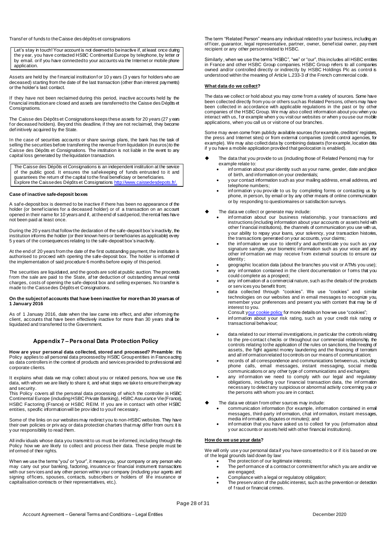#### Transf er of funds to the Caisse des dépôts et consignations

Let's stay in touch! Your account is not deemed to be inactive if, at least once during the y ear, you have contacted HSBC Continental Europe by telephone, by letter or by email. or if you have connected to your accounts via the Internet or mobile phone application.

Assets are held by the financial institution for 10 y ears (3 y ears for holders who are deceased) starting from the date of the last transaction (other than interest payments) or the holder's last contact.

If they have not been reclaimed during this period, inactive accounts held by the f inancial institution are closed and assets are transferred to the Caisse des Dépôts et Consignations.

The Caisse des Dépôts et Consignations keeps these assets for 20 years (27 y ears f or deceased holders). Beyond this deadline, if they are not reclaimed, they become def initively acquired by the State.

In the case of securities accounts or share savings plans, the bank has the task of selling the securities before transferring the revenue from liquidation (in euros) to the Caisse des Dépôts et Consignations. The institution is not liable in the event to any capital loss generated by the liquidation transaction.

The Caisse des Dépôts et Consignations is an independent institution at the service of the public good. It ensures the saf ekeeping of funds entrusted to it and guarantees the return of the capital to the final beneficiary or beneficiaries. Explore the Caisse des Dépôts et Consignatio[ns http://www.caissedesdepots.fr/.](http://www.caissedesdepots.fr/)

#### **Case of inactive safe-deposit boxes**

A saf e-deposit box is deemed to be inactive if there has been no appearance of the holder (or benef iciaries for a deceased holder) or of a transaction on an account opened in their name for 10 years and if, at the end of said period, the rental fees have not been paid at least once.

During the 20 y ears that follow the declaration of the safe-deposit box's inactivity, the institution informs the holder (or their known heirs or beneficiaries as applicable) every 5 y ears of the consequences relating to the safe-deposit box's inactivity.

At the end of 20 years from the date of the first outstanding payment, the institution is authorised to proceed with opening the safe-deposit box. The holder is informed of the implementation of said procedure 6 months before expiry of this period.

The securities are liquidated, and the goods are sold at public auction. The proceeds f rom the sale are paid to the State, af ter deduction of outstanding annual rental charges, costs of opening the safe-deposit box and selling expenses. No transfer is made to the Caisse des Dépôts et Consignations.

#### **On the subject of accounts that have been inactive for more than 30 years as of 1 January 2016**

As of 1 January 2016, date when the law came into effect, and after informing the client, accounts that have been effectively inactive for more than 30 years shall be liquidated and transferred to the Government.

#### **Appendix 7 – Personal Data Protection Policy**

**How are your personal data collected, stored and processed? Preamble**: this Policy applies to all personal data processed by HSBC Group entities in France acting as data controllers in the context of products and services provided to professional and corporate clients.

It explains what data we may collect about you or related persons, how we use this data, with whom we are likely to share it, and what steps we take to ensure their privacy and security.

This Policy covers all the personal data processing of which the controller is HSBC Continental Europe (including HSBC Private Banking), HSBC Assurance Vie (France), HSBC Factoring (France) or HSBC REIM. If you are in contact with other HSBC entities, specific information will be prov ided to you if necessary.

Some of the links on our websites may redirect you to non-HSBC websites. They have their own policies or priv acy or data protection charters that may differ from ours: it is y our responsibility to read them.

All indiv iduals whose data you transmit to us must be informed, including through this Policy how we are likely to collect and process their data. These people must be inf ormed of their rights.

When we use the terms "you" or "your", it means you, your company or any person who may carry out your banking, factoring, insurance or financial instrument transactions with our serv ices and any other person within your company (including your agents and signing of ficers, spouses, contacts, subscribers or holders of lif e insurance or capitalisation contracts or their representatives, etc.).

The term "Related Person" means any individual related to your business, including an of f icer, guarantor, legal representative, partner, owner, benef icial owner, pay ment recipient or any other person related to HSBC.

Similarly , when we use the terms "HSBC", "we" or "our", this includes all HSBC entities in France and other HSBC Group companies. HSBC Group refers to all companies owned and/or controlled directly or indirectly by HSBC Holdings Plc as control is understood within the meaning of Article L.233-3 of the French commercial code.

#### **What data do we collect?**

The data we collect or hold about you may come from a variety of sources. Some have been collected directly from you or others such as Related Persons, others may have been collected in accordance with applicable regulations in the past or by other companies of the HSBC Group. We may also collect information about you when you interact with us, f or example when y ou visit our websites or when y ou use our mobile applications, when you call us or visit one of our branches.

Some may even come from publicly available sources (for example, creditors' registers, the press and Internet sites) or from external companies (credit control agencies, for example). We may also collect data by combining datasets (for example, location data if y ou have a mobile application provided that geolocation is enabled).

- The data that you provide to us (including those of Related Persons) may for example relate to:
	- inf ormation about your identity such as your name, gender, date and place of birth, and information on your credentials;
	- y our contact information such as your mailing address, email address, and telephone numbers;
	- inf ormation y ou prov ide to us by completing forms or contacting us by phone, in person, by email or by any other means of online communication or by responding to questionnaires or satisfaction surveys.
- The data we collect or generate may include:
	- inf ormation about our business relationship, y our transactions and instructions (including information about your accounts or assets held with other f inancial institutions), the channels of communication you use with us, y our ability to repay your bans, your solvency, your transaction histories, the transactions generated on your accounts, your claims;
	- the inf ormation we use to identif y and authenticate y ou such as your signature sample, your biometric information such as your voice and any other inf ormation we may receive f rom external sources to ensure our identity ;
	- geographic location data (about the branches you visit or ATMs you use); any information contained in the client documentation or forms that you
	- could complete as a prospect; any information of a commercial nature, such as the details of the products
	- or serv ices you benefit from;
	- data collected through "cookies". We use "cookies" and similar technologies on our websites and in email messages to recognize you, remember your preferences and present you with content that may be of interest to you.<br>Consult your co

kie policy for more details on how we use "cookies";

- inf ormation about y our risk rating, such as y our credit risk rating or transactional behaviour;
- data related to our internal investigations, in particular the controls relating to the pre-contact checks or throughout our commercial relationship, the controls relating to the application of the rules on sanctions, the freezing of assets, the fight against money laundering and the financing of terrorism and all inf ormation related to controls on our means of communication;
- records of all correspondence and communications between us, including phone calls, email messages, instant messaging, social media communications or any other type of communications and exchanges;
- any inf ormation we need to comply with our legal and regulatory obligations, including y our f inancial transaction data, the inf ormation necessary to detect any suspicious or abnormal activity concerning you or the persons with whom you are in contact.
- The data we obtain f rom other sources may include:
	- communication information (for example, information contained in email messages, third-party inf ormation, chat inf ormation, instant messages, media inf ormation, disputes or minutes); and
	- inf ormation that you have asked us to collect for you (information about y our accounts or assets held with other financial institutions).

#### **How do we use your data?**

We will only use y our personal data if you have consented to it or if it is based on one of the legal grounds laid down by law:

- The protection of our legitimate interests;
- The perf ormance of a contract or commitment for which you are and/or we are engaged;
- Compliance with a legal or regulatory obligation;
- The preserv ation of the public interest, such as the prevention or detection of f raud or financial crimes.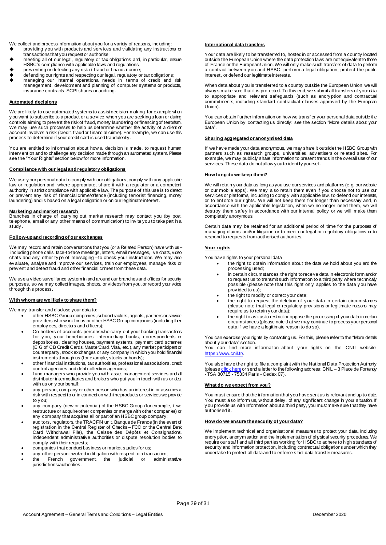We collect and process information about you for a variety of reasons, including:

- prov iding y ou with products and serv ices and v alidating any instructions or transactions that you request or authorise;
- meeting all of our legal, regulatory or tax obligations and, in particular, ensure HSBC's compliance with applicable laws and regulations;
- prev enting or detecting any risk of fraud or financial crime;
- def ending our rights and respecting our legal, regulatory or tax obligations;
- managing our internal operational needs in terms of credit and risk management, development and planning of computer systems or products, insurance contracts, SCPI shares or auditing.

#### **Automated decisions**

We are likely to use automated systems to assist decision-making, for example when y ou want to subscribe to a product or a service, when you are seeking a loan or during controls aiming to prevent the risk of fraud, money laundering or financing of terrorism. We may use such processes to help us determine whether the activity of a client or account involves a risk (credit, fraud or financial crime). For example, we can use this process to determine if your credit card is used fraudulently.

You are entitled to inf ormation about how a decision is made, to request human interv ention and to challenge any decision made through an automated system. Please see the "Your Rights" section below for more information.

#### **Compliance with our legal and regulatory obligations**

We use y our personal data to comply with our obligations, comply with any applicable law or regulation and, where appropriate, share it with a regulator or a competent authority in strict compliance with applicable law. The purpose of this use is to detect or prev ent any risk of financial crime/offence (including terrorist financing, money laundering) and is based on a legal obligation or on our legitimate interest.

**Marketing and market research** Branches in charge of carrying out market research may contact you (by post, telephone, email or any other means of communication) to invite you to take part in a study .

#### **Follow-up and recording of our exchanges**

We may record and retain conversations that you (or a Related Person) have with us – including phone calls, face-to-face meetings, letters, email messages, live chats, video chats and any other ty pe of messaging – to check your instructions. We may also ev aluate, analyse and improve our services, train our employees, manage risks or prev ent and detect fraud and other financial crimes from these data.

We use a video surveillance system in and around our branches and offices for security purposes, so we may collect images, photos, or videos from you, or record your voice through this process.

#### **With whom are we likely to share them?**

We may transfer and disclose your data to:

- other HSBC Group companies, subcontractors, agents, partners or service prov iders who work for us or other HSBC Group companies (including their employ ees, directors and officers);
- Co-holders of accounts, persons who carry out your banking transactions f or y ou, y our benef iciaries, intermediary banks, correspondents or depositories, clearing houses, payment systems, payment card schemes (EIG of CB Credit Cards, MasterCard, Visa, etc.), any market participant or counterparty, stock exchanges or any company in which you hold financial instruments through us (for example, stocks or bonds);
- other f inancial institutions, tax authorities, professional associations, credit control agencies and debt collection agencies;
- fund managers who provide you with asset management services and all distributor intermediaries and brokers who put you in touch with us or deal with us on y our behalf;
- any person, company or other person who has an interest in or assumes a risk with respect to or in connection with the products or services we provide to y ou;
- any company (new or potential) of the HSBC Group (for example, if we restructure or acquire other companies or merge with other companies) or any company that acquires all or part of an HSBC group company;
- auditors, regulators, the TRACFIN unit, Banque de France (in the event of registration in the Central Register of Checks – FCC or the Central Bank Card Withdrawal File), the Caisse des Dépôts et Consignations, independent administrative authorities or dispute resolution bodies to comply with their requests;
- companies that conduct business or market studies for us;
- any other person involved in litigation with respect to a transaction;
- the French gov ernment, the judicial or administrative jurisdictions/authorities.

#### **International data transfers**

Your data are likely to be transferred to, hosted in or accessed from a country located outside the European Union where the data protection laws are not equivalent to those of France or the European Union. We will only make such transfers of data to perform a contract between y ou and HSBC, perf orm a legal obligation, protect the public interest, or defend our legitimate interests.

When data about y ou is transferred to a country outside the European Union, we will alway s make sure that it is protected. To this end, we submit all transfers of your data to appropriate and relev ant saf eguards (such as encry ption and contractual commitments, including standard contractual clauses approved by the European Union).

You can obtain f urther information on how we transf er your personal data outside the European Union by contacting us directly: see the section "More details about your data".

#### **Sharing aggregated or anonymised data**

If we hav e made your data anonymous, we may share it outside the HSBC Group with partners such as research groups, universities, adv ertisers or related sites. For example, we may publicly share information to present trends in the overall use of our serv ices. These data do not allow y ou to identify yourself.

#### **How long do we keep them?**

We will retain y our data as long as you use our services and platforms (e.g. our website or our mobile apps). We may also retain them even if you choose not to use our serv ices or platforms, including to comply with applicable law, to defend our interests, or to enf orce our rights. We will not keep them f or longer than necessary and, in accordance with the applicable legislation, when we no longer need them, we will destroy them safely in accordance with our internal policy or we will make them completely anonymous.

Certain data may be retained for an additional period of time for the purposes of managing claims and/or litigation or to meet our legal or regulatory obligations or to respond to requests from authorised authorities.

#### **Your rights**

You hav e rights to your personal data:

- the right to obtain information about the data we hold about you and the processing used;
- in certain circumstances, the right to receive data in electronic form and/or to request us to transmit such information to a third party where technically possible (please note that this right only applies to the data y ou have prov ided to us);
- the right to modify or correct your data;
- the right to request the deletion of y our data in certain circumstances (please note that legal or regulatory provisions or legitimate reasons may require us to retain y our data);
- the right to ask us to restrict or oppose the processing of your data in certain circumstances (please note that we may continue to process your personal data if we hav e a legitimate reason to do so).

You can exercise your rights by contacting us. For this, please refer to the "More details about y our data" section.

You can find more information about your rights on the CNIL website: <https://www.cnil.fr/>.

You also hav e the right to file a complaint with the National Data Protection Authority (pleas[e click here](https://www.cnil.fr/fr/agir) or send a letter to the following address: CNIL - 3 Place de Fontenoy - TSA 80715 - 75334 Paris - Cedex 07).

#### **What do we expect from you?**

You must ensure that the information that you have sent us is relevant and up to date. You must also inform us, without delay, of any significant change in your situation. If y ou provide us with information about a third party, you must make sure that they have authorised it.

#### **How do we ensure the security of your data?**

We implement technical and organisational measures to protect your data, including encry ption, anonymisation and the implementation of physical security procedures. We require our staff and all third parties working for HSBC to adhere to high standards of security and information protection, including contractual obligations under which they undertake to protect all data and to enforce strict data transfer measures.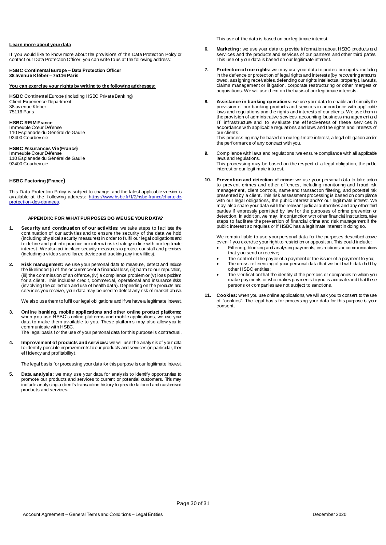#### **Learn more about your data**

If you would like to know more about the provisions of this Data Protection Policy or contact our Data Protection Officer, you can write to us at the following address:

#### **HSBC Continental Europe – Data Protection Officer 38 avenue Kléber – 75116 Paris**

#### **You can exercise your rights by writing to the following addresses:**

**HSBC** Continental Europe (including HSBC Private Banking) Client Experience Department 38 av enue Kléber 75116 Paris

#### **HSBC REIM France**

Immeuble Cœur Défense 110 Esplanade du Général de Gaulle 92400 Courbev oie

# **HSBC Assurances Vie (France)** Immeuble Cœur Défense

110 Esplanade du Général de Gaulle 92400 Courbev oie

#### **HSBC Factoring (France)**

This Data Protection Policy is subject to change, and the latest applicable version is av ailable at the <code>following</code> address: <u>https://www.hsbc.fr/1/2/hsbc-france/charte-de</u> [protection-des-donnees](https://www.hsbc.fr/1/2/hsbc-france/charte-de-protection-des-donnees).

#### **APPENDIX: FOR WHAT PURPOSES DO WE USE YOUR DATA?**

- **1. Security and continuation of our activities:** we take steps to f acilitate the continuation of our activities and to ensure the security of the data we hold (including phy sical security measures) in order to f ulfil our legal obligations and to def ine and put into practice our internal risk strategy in line with our legitimate interest. We also put in place security measures to protect our staff and premises (including a v ideo surveillance device and tracking any incivilities).
- **2. Risk management:** we use your personal data to measure, detect and reduce the likelihood (i) of the occurrence of a f inancial loss, (ii) harm to our reputation, (iii) the commission of an offence, (iv) a compliance problem or (v) loss problem for a client. This includes credit, commercial, operational and insurance risks (inv olving the collection and use of health data). Depending on the products and serv ices you receive, your data may be used to detect any risk of market abuse.

We also use them to fulfil our legal obligations and if we have a legitimate interest.

**3. Online banking, mobile applications and other online product platforms:**  when y ou use HSBC's online platforms and mobile applications, we use your data to make them av ailable to you. These platforms may also allow you to communicate with HSBC.

The legal basis for the use of your personal data for this purpose is contractual.

**4. Improvement of products and services:** we will use the analy sis of your data to identify possible improvements to our products and services (in particular, their ef f iciency and profitability).

The legal basis for processing your data for this purpose is our legitimate interest.

**5. Data analysis:** we may use your data for analysis to identify opportunities to promote our products and services to current or potential customers. This may include analy sing a client's transaction history to provide tailored and customised products and services.

This use of the data is based on our legitimate interest.

- **6. Marketing:** we use your data to provide information about HSBC products and services and the products and services of our partners and other third parties. This use of y our data is based on our legitimate interest.
- **7. Protection of our rights:** we may use your data to protect our rights, including in the def ence or protection of legal rights and interests (by recovering amounts owed, assigning receivables, defending our rights intellectual property), lawsuits, claims management or litigation, corporate restructuring or other mergers or acquisitions. We will use them on the basis of our legitimate interests.
- **8. Assistance in banking operations:** we use your data to enable and simplify the prov ision of our banking products and services in accordance with applicable laws and regulations and the rights and interests of our clients. We use them in the prov ision of administrative services, accounting, business management and IT infrastructure and to evaluate the effectiveness of these services in accordance with applicable regulations and laws and the rights and interests of our clients.

This processing may be based on our legitimate interest, a legal obligation and/or the perf ormance of any contract with you.

- **9.** Compliance with laws and regulations: we ensure compliance with all applicable laws and regulations. This processing may be based on the respect of a legal obligation, the public interest or our legitimate interest.
- **10. Prevention and detection of crime:** we use your personal data to take action to prev ent crimes and other of fences, including monitoring and fraud risk management, client controls, name and transaction filtering, and potential risk presented by a client. This risk assessment processing is based on complance with our legal obligations, the public interest and/or our legitimate interest. We may also share your data with the relevant judicial authorities and any other third parties if expressly permitted by law f or the purposes of crime prevention or detection. In addition, we may, in conjunction with other financial institutions, take steps to facilitate the prevention of financial crime and risk management if the public interest so requires or if HSBC has a legitimate interest in doing so.

We remain liable to use your personal data for the purposes described above ev en if you exercise your right to restriction or opposition. This could include:

- Filtering, blocking and analysing payments, instructions or communications that y ou send or receive;
- The control of the payee of a payment or the issuer of a payment to you; The cross-ref erencing of your personal data that we hold with data held by
- other HSBC entities;
- The v erification that the identity of the persons or companies to whom you make pay ments or who makes payments to you is accurate and that these persons or companies are not subject to sanctions.
- **11. Cookies:** when you use online applications, we will ask you to consent to the use of "cookies". The legal basis for processing your data for this purpose is your consent.